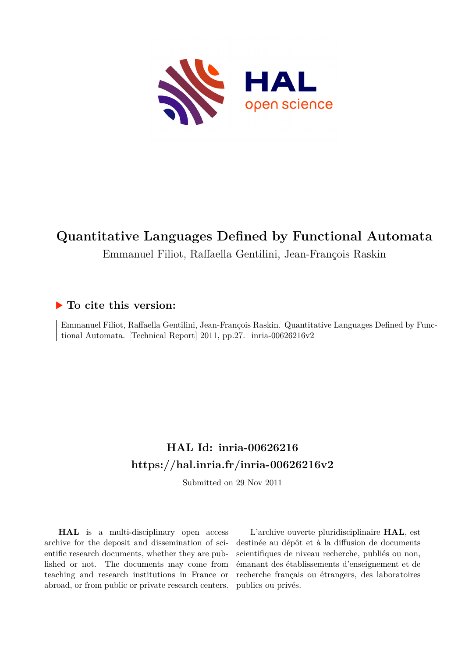

Emmanuel Filiot, Raffaella Gentilini, Jean-François Raskin

# **To cite this version:**

Emmanuel Filiot, Raffaella Gentilini, Jean-François Raskin. Quantitative Languages Defined by Functional Automata. [Technical Report]  $2011$ , pp.27. inria-00626216v2

# **HAL Id: inria-00626216 <https://hal.inria.fr/inria-00626216v2>**

Submitted on 29 Nov 2011

**HAL** is a multi-disciplinary open access archive for the deposit and dissemination of scientific research documents, whether they are published or not. The documents may come from teaching and research institutions in France or abroad, or from public or private research centers.

L'archive ouverte pluridisciplinaire **HAL**, est destinée au dépôt et à la diffusion de documents scientifiques de niveau recherche, publiés ou non, émanant des établissements d'enseignement et de recherche français ou étrangers, des laboratoires publics ou privés.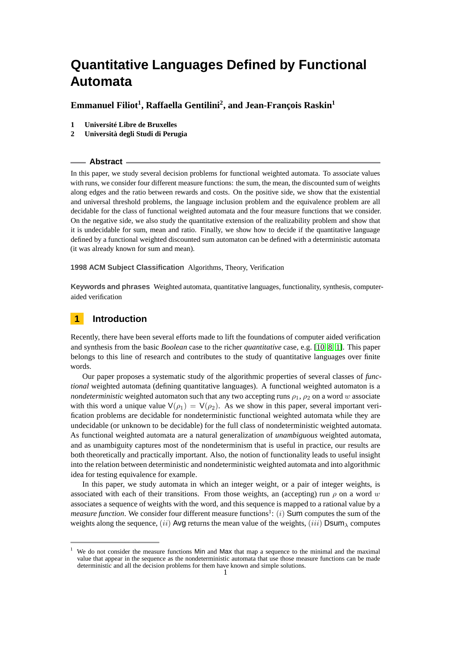## **Emmanuel Filiot<sup>1</sup> , Raffaella Gentilini<sup>2</sup> , and Jean-François Raskin<sup>1</sup>**

- **1 Université Libre de Bruxelles**
- **2 Università degli Studi di Perugia**

#### **Abstract**

In this paper, we study several decision problems for functional weighted automata. To associate values with runs, we consider four different measure functions: the sum, the mean, the discounted sum of weights along edges and the ratio between rewards and costs. On the positive side, we show that the existential and universal threshold problems, the language inclusion problem and the equivalence problem are all decidable for the class of functional weighted automata and the four measure functions that we consider. On the negative side, we also study the quantitative extension of the realizability problem and show that it is undecidable for sum, mean and ratio. Finally, we show how to decide if the quantitative language defined by a functional weighted discounted sum automaton can be defined with a deterministic automata (it was already known for sum and mean).

#### **1998 ACM Subject Classification** Algorithms, Theory, Verification

**Keywords and phrases** Weighted automata, quantitative languages, functionality, synthesis, computeraided verification

## **1 Introduction**

Recently, there have been several efforts made to lift the foundations of computer aided verification and synthesis from the basic *Boolean* case to the richer *quantitative* case, e.g. [\[10,](#page-12-0) [8,](#page-12-1) [1\]](#page-12-2). This paper belongs to this line of research and contributes to the study of quantitative languages over finite words.

Our paper proposes a systematic study of the algorithmic properties of several classes of *functional* weighted automata (defining quantitative languages). A functional weighted automaton is a *nondeterministic* weighted automaton such that any two accepting runs  $\rho_1$ ,  $\rho_2$  on a word *w* associate with this word a unique value  $V(\rho_1) = V(\rho_2)$ . As we show in this paper, several important verification problems are decidable for nondeterministic functional weighted automata while they are undecidable (or unknown to be decidable) for the full class of nondeterministic weighted automata. As functional weighted automata are a natural generalization of *unambiguous* weighted automata, and as unambiguity captures most of the nondeterminism that is useful in practice, our results are both theoretically and practically important. Also, the notion of functionality leads to useful insight into the relation between deterministic and nondeterministic weighted automata and into algorithmic idea for testing equivalence for example.

In this paper, we study automata in which an integer weight, or a pair of integer weights, is associated with each of their transitions. From those weights, an (accepting) run  $\rho$  on a word *w* associates a sequence of weights with the word, and this sequence is mapped to a rational value by a *measure function*. We consider four different measure functions<sup>1</sup>: (*i*) **Sum** computes the sum of the weights along the sequence, (*ii*) Avg returns the mean value of the weights, (*iii*) Dsum*<sup>λ</sup>* computes

<sup>&</sup>lt;sup>1</sup> We do not consider the measure functions Min and Max that map a sequence to the minimal and the maximal value that appear in the sequence as the nondeterministic automata that use those measure functions can be made deterministic and all the decision problems for them have known and simple solutions. 1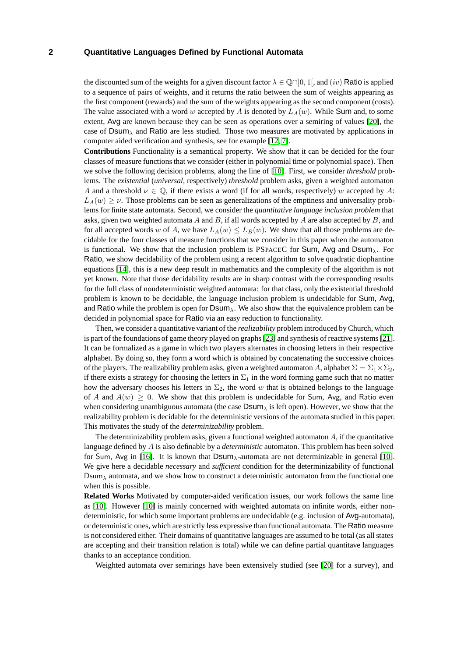the discounted sum of the weights for a given discount factor  $\lambda \in \mathbb{Q} \cap ]0,1[$ , and  $(iv)$  Ratio is applied to a sequence of pairs of weights, and it returns the ratio between the sum of weights appearing as the first component (rewards) and the sum of the weights appearing as the second component (costs). The value associated with a word *w* accepted by *A* is denoted by *LA*(*w*). While Sum and, to some extent, Avg are known because they can be seen as operations over a semiring of values [\[20\]](#page-12-3), the case of Dsum*<sup>λ</sup>* and Ratio are less studied. Those two measures are motivated by applications in computer aided verification and synthesis, see for example [\[12,](#page-12-4) [7\]](#page-12-5).

**Contributions** Functionality is a semantical property. We show that it can be decided for the four classes of measure functions that we consider (either in polynomial time or polynomial space). Then we solve the following decision problems, along the line of [\[10\]](#page-12-0). First, we consider *threshold* problems. The *existential* (*universal*, respectively) *threshold* problem asks, given a weighted automaton *A* and a threshold  $\nu \in \mathbb{Q}$ , if there exists a word (if for all words, respectively) *w* accepted by *A*:  $L_A(w) \geq \nu$ . Those problems can be seen as generalizations of the emptiness and universality problems for finite state automata. Second, we consider the *quantitative language inclusion problem* that asks, given two weighted automata *A* and *B*, if all words accepted by *A* are also accepted by *B*, and for all accepted words *w* of *A*, we have  $L_A(w) \leq L_B(w)$ . We show that all those problems are decidable for the four classes of measure functions that we consider in this paper when the automaton is functional. We show that the inclusion problem is PSPACEC for Sum, Avg and Dsum*λ*. For Ratio, we show decidability of the problem using a recent algorithm to solve quadratic diophantine equations [\[14\]](#page-12-6), this is a new deep result in mathematics and the complexity of the algorithm is not yet known. Note that those decidability results are in sharp contrast with the corresponding results for the full class of nondeterministic weighted automata: for that class, only the existential threshold problem is known to be decidable, the language inclusion problem is undecidable for Sum, Avg, and Ratio while the problem is open for Dsum*λ*. We also show that the equivalence problem can be decided in polynomial space for Ratio via an easy reduction to functionality.

Then, we consider a quantitative variant of the *realizability* problem introduced by Church, which is part of the foundations of game theory played on graphs [\[23\]](#page-12-7) and synthesis of reactive systems [\[21\]](#page-12-8). It can be formalized as a game in which two players alternates in choosing letters in their respective alphabet. By doing so, they form a word which is obtained by concatenating the successive choices of the players. The realizability problem asks, given a weighted automaton *A*, alphabet  $\Sigma = \Sigma_1 \times \Sigma_2$ , if there exists a strategy for choosing the letters in  $\Sigma_1$  in the word forming game such that no matter how the adversary chooses his letters in  $\Sigma_2$ , the word *w* that is obtained belongs to the language of *A* and  $A(w) \geq 0$ . We show that this problem is undecidable for Sum, Avg, and Ratio even when considering unambiguous automata (the case Dsum*<sup>λ</sup>* is left open). However, we show that the realizability problem is decidable for the deterministic versions of the automata studied in this paper. This motivates the study of the *determinizability* problem.

The determinizability problem asks, given a functional weighted automaton *A*, if the quantitative language defined by *A* is also definable by a *deterministic* automaton. This problem has been solved for Sum, Avg in [\[16\]](#page-12-9). It is known that Dsum*λ*-automata are not determinizable in general [\[10\]](#page-12-0). We give here a decidable *necessary* and *sufficient* condition for the determinizability of functional  $Dsum<sub>\lambda</sub>$  automata, and we show how to construct a deterministic automaton from the functional one when this is possible.

**Related Works** Motivated by computer-aided verification issues, our work follows the same line as [\[10\]](#page-12-0). However [\[10\]](#page-12-0) is mainly concerned with weighted automata on infinite words, either nondeterministic, for which some important problems are undecidable (e.g. inclusion of Avg-automata), or deterministic ones, which are strictly less expressive than functional automata. The Ratio measure is not considered either. Their domains of quantitative languages are assumed to be total (as all states are accepting and their transition relation is total) while we can define partial quantitave languages thanks to an acceptance condition.

Weighted automata over semirings have been extensively studied (see [\[20\]](#page-12-3) for a survey), and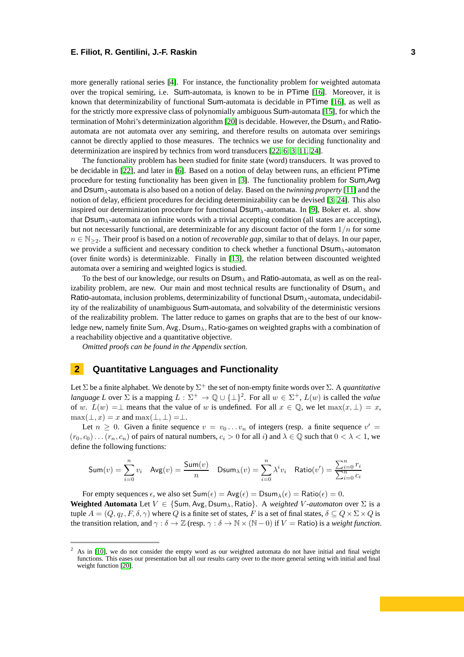more generally rational series [\[4\]](#page-12-10). For instance, the functionality problem for weighted automata over the tropical semiring, i.e. Sum-automata, is known to be in PTime [\[16\]](#page-12-9). Moreover, it is known that determinizability of functional Sum-automata is decidable in PTime [\[16\]](#page-12-9), as well as for the strictly more expressive class of polynomially ambiguous Sum-automata [\[15\]](#page-12-11), for which the termination of Mohri's determinization algorithm [\[20\]](#page-12-3) is decidable. However, the Dsum*<sup>λ</sup>* and Ratioautomata are not automata over any semiring, and therefore results on automata over semirings cannot be directly applied to those measures. The technics we use for deciding functionality and determinization are inspired by technics from word transducers [\[22,](#page-12-12) [6,](#page-12-13) [3,](#page-12-14) [11,](#page-12-15) [24\]](#page-12-16).

The functionality problem has been studied for finite state (word) transducers. It was proved to be decidable in [\[22\]](#page-12-12), and later in [\[6\]](#page-12-13). Based on a notion of delay between runs, an efficient PTime procedure for testing functionality has been given in [\[3\]](#page-12-14). The functionality problem for Sum,Avg and Dsum*λ*-automata is also based on a notion of delay. Based on the *twinning property* [\[11\]](#page-12-15) and the notion of delay, efficient procedures for deciding determinizability can be devised [\[3,](#page-12-14) [24\]](#page-12-16). This also inspired our determinization procedure for functional Dsum*λ*-automata. In [\[9\]](#page-12-17), Boker et. al. show that Dsum*λ*-automata on infinite words with a trivial accepting condition (all states are accepting), but not necessarily functional, are determinizable for any discount factor of the form 1*/n* for some *n* ∈ N<sub>>2</sub>. Their proof is based on a notion of *recoverable gap*, similar to that of delays. In our paper, we provide a sufficient and necessary condition to check whether a functional Dsum*λ*-automaton (over finite words) is determinizable. Finally in [\[13\]](#page-12-18), the relation between discounted weighted automata over a semiring and weighted logics is studied.

To the best of our knowledge, our results on Dsum*<sup>λ</sup>* and Ratio-automata, as well as on the realizability problem, are new. Our main and most technical results are functionality of  $DSum_\lambda$  and Ratio-automata, inclusion problems, determinizability of functional Dsum*λ*-automata, undecidability of the realizability of unambiguous Sum-automata, and solvability of the deterministic versions of the realizability problem. The latter reduce to games on graphs that are to the best of our knowledge new, namely finite Sum*,* Avg*,* Dsum*λ,* Ratio-games on weighted graphs with a combination of a reachability objective and a quantitative objective.

*Omitted proofs can be found in the Appendix section.*

## **2 Quantitative Languages and Functionality**

Let  $\Sigma$  be a finite alphabet. We denote by  $\Sigma^+$  the set of non-empty finite words over  $\Sigma.$  A *quantitative language L* over  $\Sigma$  is a mapping  $L : \Sigma^+ \to \mathbb{Q} \cup {\{\perp\}}^2$ . For all  $w \in \Sigma^+$ ,  $L(w)$  is called the *value* of *w*.  $L(w) = \perp$  means that the value of *w* is undefined. For all  $x \in \mathbb{Q}$ , we let  $\max(x, \perp) = x$ ,  $max(\perp, x) = x$  and  $max(\perp, \perp) = \perp$ .

Let  $n \geq 0$ . Given a finite sequence  $v = v_0 \dots v_n$  of integers (resp. a finite sequence  $v' =$  $(r_0, c_0) \ldots (r_n, c_n)$  of pairs of natural numbers,  $c_i > 0$  for all *i*) and  $\lambda \in \mathbb{Q}$  such that  $0 < \lambda < 1$ , we define the following functions:

$$
\mathsf{Sum}(v) = \sum_{i=0}^{n} v_i \quad \mathsf{Avg}(v) = \frac{\mathsf{Sum}(v)}{n} \quad \mathsf{DSum}_{\lambda}(v) = \sum_{i=0}^{n} \lambda^i v_i \quad \mathsf{Ratio}(v') = \frac{\sum_{i=0}^{n} r_i}{\sum_{i=0}^{n} c_i}
$$

For empty sequences  $\epsilon$ , we also set  $Sum(\epsilon) = Avg(\epsilon) = Dsum_{\lambda}(\epsilon) = Ratio(\epsilon) = 0$ .

**Weighted Automata** Let  $V \in \{\text{Sum}, \text{Avg}, \text{DSum}_{\lambda}, \text{Ratio}\}\$ . A *weighted V-automaton* over  $\Sigma$  is a tuple  $A = (Q, q_I, F, \delta, \gamma)$  where *Q* is a finite set of states, *F* is a set of final states,  $\delta \subseteq Q \times \Sigma \times Q$  is the transition relation, and  $\gamma : \delta \to \mathbb{Z}$  (resp.  $\gamma : \delta \to \mathbb{N} \times (\mathbb{N} - 0)$  if  $V =$  Ratio) is a *weight function*.

<sup>2</sup> As in [\[10\]](#page-12-0), we do not consider the empty word as our weighted automata do not have initial and final weight functions. This eases our presentation but all our results carry over to the more general setting with initial and final weight function [\[20\]](#page-12-3).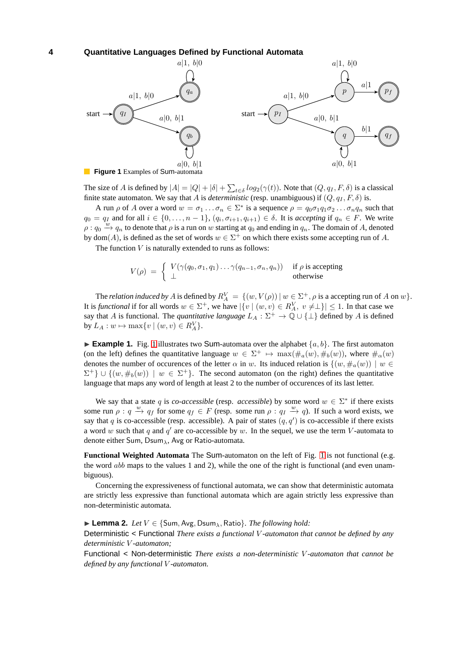<span id="page-4-0"></span>

The size of *A* is defined by  $|A| = |Q| + |\delta| + \sum_{t \in \delta} log_2(\gamma(t))$ . Note that  $(Q, q_I, F, \delta)$  is a classical finite state automaton. We say that *A* is *deterministic* (resp. unambiguous) if  $(Q, q_I, F, \delta)$  is.

A run  $\rho$  of A over a word  $w = \sigma_1 \dots \sigma_n \in \Sigma^*$  is a sequence  $\rho = q_0 \sigma_1 q_1 \sigma_2 \dots \sigma_n q_n$  such that  $q_0 = q_I$  and for all  $i \in \{0, \ldots, n-1\}$ ,  $(q_i, \sigma_{i+1}, q_{i+1}) \in \delta$ . It is *accepting* if  $q_n \in F$ . We write  $\rho: q_0 \stackrel{w}{\to} q_n$  to denote that  $\rho$  is a run on *w* starting at  $q_0$  and ending in  $q_n$ . The domain of *A*, denoted by dom(*A*), is defined as the set of words  $w \in \Sigma^{+}$  on which there exists some accepting run of *A*.

The function *V* is naturally extended to runs as follows:

$$
V(\rho) = \begin{cases} V(\gamma(q_0, \sigma_1, q_1) \dots \gamma(q_{n-1}, \sigma_n, q_n)) & \text{if } \rho \text{ is accepting} \\ \perp & \text{otherwise} \end{cases}
$$

The *relation induced by A* is defined by  $R_A^V = \{(w, V(\rho)) \mid w \in \Sigma^+, \rho \text{ is a accepting run of } A \text{ on } w\}.$ It is *functional* if for all words  $w \in \Sigma^+$ , we have  $|\{v \mid (w, v) \in R_A^V, v \neq \bot\}| \leq 1$ . In that case we say that *A* is functional. The *quantitative language*  $L_A : \Sigma^+ \to \mathbb{Q} \cup \{\perp\}$  defined by *A* is defined  $\text{by } L_A: w \mapsto \max\{v \mid (w, v) \in R_A^V\}.$ 

**Example [1](#page-4-0).** Fig. 1 illustrates two Sum-automata over the alphabet  $\{a, b\}$ . The first automaton (on the left) defines the quantitative language  $w \in \Sigma^+ \mapsto \max(\#_a(w), \#_b(w))$ , where  $\#_a(w)$ denotes the number of occurences of the letter  $\alpha$  in *w*. Its induced relation is  $\{(w, \#_n(w)) \mid w \in$  $\Sigma^+$ }  $\cup$   $\{(w, \#_b(w)) \mid w \in \Sigma^+\}$ . The second automaton (on the right) defines the quantitative language that maps any word of length at least 2 to the number of occurences of its last letter.

We say that a state *q* is *co-accessible* (resp. *accessible*) by some word  $w \in \Sigma^*$  if there exists some run  $\rho: q \stackrel{w}{\to} q_f$  for some  $q_f \in F$  (resp. some run  $\rho: q_I \stackrel{w}{\to} q$ ). If such a word exists, we say that *q* is co-accessible (resp. accessible). A pair of states  $(q, q')$  is co-accessible if there exists a word *w* such that  $q$  and  $q'$  are co-accessible by  $w$ . In the sequel, we use the term *V*-automata to denote either Sum, Dsum*λ*, Avg or Ratio-automata.

**Functional Weighted Automata** The Sum-automaton on the left of Fig. [1](#page-4-0) is not functional (e.g. the word *abb* maps to the values 1 and 2), while the one of the right is functional (and even unambiguous).

Concerning the expressiveness of functional automata, we can show that deterministic automata are strictly less expressive than functional automata which are again strictly less expressive than non-deterministic automata.

#### ◮ **Lemma 2.** *Let V* ∈ {Sum*,* Avg*,* Dsum*λ,* Ratio}*. The following hold:*

Deterministic < Functional *There exists a functional V -automaton that cannot be defined by any deterministic V -automaton;*

Functional < Non-deterministic *There exists a non-deterministic V -automaton that cannot be defined by any functional V -automaton.*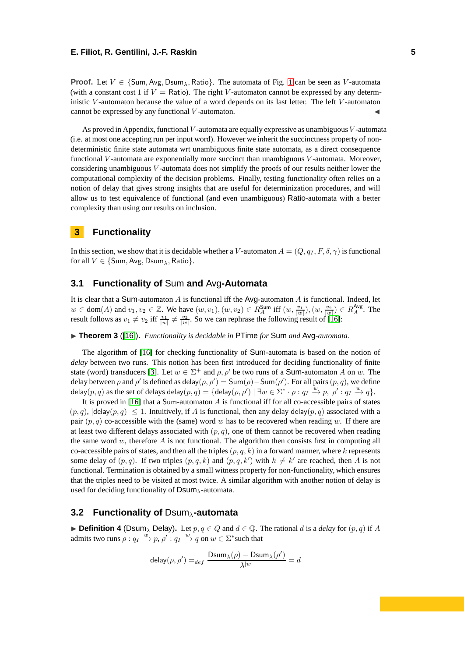**Proof.** Let  $V \in \{Sum, Avg, Dsum_A, Ratio\}$ . The automata of Fig. [1](#page-4-0) can be seen as *V*-automata (with a constant cost 1 if  $V =$  Ratio). The right *V*-automaton cannot be expressed by any deterministic *V* -automaton because the value of a word depends on its last letter. The left *V* -automaton cannot be expressed by any functional *V*-automaton.

As proved in Appendix, functional *V* -automata are equally expressive as unambiguous*V* -automata (i.e. at most one accepting run per input word). However we inherit the succinctness property of nondeterministic finite state automata wrt unambiguous finite state automata, as a direct consequence functional *V* -automata are exponentially more succinct than unambiguous *V* -automata. Moreover, considering unambiguous *V* -automata does not simplify the proofs of our results neither lower the computational complexity of the decision problems. Finally, testing functionality often relies on a notion of delay that gives strong insights that are useful for determinization procedures, and will allow us to test equivalence of functional (and even unambiguous) Ratio-automata with a better complexity than using our results on inclusion.

## **3 Functionality**

In this section, we show that it is decidable whether a *V*-automaton  $A = (Q, q_I, F, \delta, \gamma)$  is functional for all  $V \in \{Sum, Avg, Dsum_\lambda, Ratio\}.$ 

## **3.1 Functionality of** Sum **and** Avg**-Automata**

It is clear that a Sum-automaton *A* is functional iff the Avg-automaton *A* is functional. Indeed, let  $w \in \text{dom}(A)$  and  $v_1, v_2 \in \mathbb{Z}$ . We have  $(w, v_1), (w, v_2) \in R_A^{\text{Sum}}$  iff  $(w, \frac{v_1}{|w|}), (w, \frac{v_2}{|w|}) \in R_A^{\text{Avg}}$ . The result follows as  $v_1 \neq v_2$  iff  $\frac{v_1}{|w|} \neq \frac{v_2}{|w|}$ . So we can rephrase the following result of [\[16\]](#page-12-9):

◮ **Theorem 3** ([\[16\]](#page-12-9))**.** *Functionality is decidable in* PTime *for* Sum *and* Avg*-automata.*

The algorithm of [\[16\]](#page-12-9) for checking functionality of Sum-automata is based on the notion of *delay* between two runs. This notion has been first introduced for deciding functionality of finite state (word) transducers [\[3\]](#page-12-14). Let  $w \in \Sigma^+$  and  $\rho, \rho'$  be two runs of a **Sum**-automaton *A* on *w*. The delay between  $\rho$  and  $\rho'$  is defined as delay $(\rho, \rho') = \mathsf{Sum}(\rho) - \mathsf{Sum}(\rho')$ . For all pairs  $(p, q)$ , we define  $\det(\rho, q)$  as the set of  $\det(\rho, q) = \det(\rho, \rho') \mid \exists w \in \Sigma^* \cdot \rho : q_I \stackrel{w}{\to} p, \rho' : q_I \stackrel{w}{\to} q$ .

It is proved in [\[16\]](#page-12-9) that a Sum-automaton *A* is functional iff for all co-accessible pairs of states  $(p, q)$ ,  $|\text{delay}(p, q)| \leq 1$ . Intuitively, if *A* is functional, then any delay delay $(p, q)$  associated with a pair  $(p, q)$  co-accessible with the (same) word *w* has to be recovered when reading *w*. If there are at least two different delays associated with  $(p, q)$ , one of them cannot be recovered when reading the same word  $w$ , therefore  $A$  is not functional. The algorithm then consists first in computing all co-accessible pairs of states, and then all the triples  $(p, q, k)$  in a forward manner, where  $k$  represents some delay of  $(p, q)$ . If two triples  $(p, q, k)$  and  $(p, q, k')$  with  $k \neq k'$  are reached, then *A* is not functional. Termination is obtained by a small witness property for non-functionality, which ensures that the triples need to be visited at most twice. A similar algorithm with another notion of delay is used for deciding functionality of Dsum*λ*-automata.

### **3.2 Functionality of** Dsum*λ***-automata**

 $\blacktriangleright$  **Definition 4** (Dsum<sub> $\lambda$ </sub> Delay). Let  $p, q \in Q$  and  $d \in \mathbb{Q}$ . The rational *d* is a *delay* for  $(p, q)$  if *A* admits two runs  $\rho: q_I \stackrel{w}{\rightarrow} p$ ,  $\rho': q_I \stackrel{w}{\rightarrow} q$  on  $w \in \Sigma^*$  such that

$$
\mathsf{delay}(\rho, \rho') =_{def} \frac{\mathsf{Dsum}_\lambda(\rho) - \mathsf{Dsum}_\lambda(\rho')}{\lambda^{|w|}} = d
$$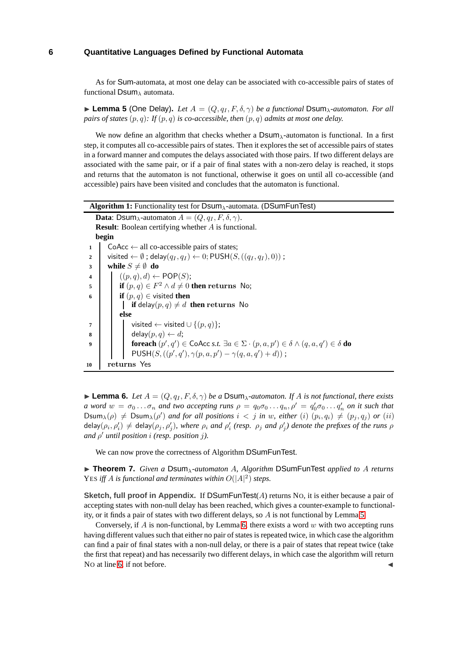As for Sum-automata, at most one delay can be associated with co-accessible pairs of states of functional Dsum*<sup>λ</sup>* automata.

<span id="page-6-0"></span>**Lemma 5** (One Delay). Let  $A = (Q, q_I, F, \delta, \gamma)$  be a functional Dsum<sub> $\lambda$ </sub>-automaton. For all *pairs of states* (*p, q*)*: If* (*p, q*) *is co-accessible, then* (*p, q*) *admits at most one delay.*

We now define an algorithm that checks whether a Dsum<sub> $\lambda$ </sub>-automaton is functional. In a first step, it computes all co-accessible pairs of states. Then it explores the set of accessible pairs of states in a forward manner and computes the delays associated with those pairs. If two different delays are associated with the same pair, or if a pair of final states with a non-zero delay is reached, it stops and returns that the automaton is not functional, otherwise it goes on until all co-accessible (and accessible) pairs have been visited and concludes that the automaton is functional.

<span id="page-6-5"></span><span id="page-6-4"></span><span id="page-6-2"></span>**Algorithm 1:** Functionality test for Dsum*λ*-automata. (DSumFunTest) **Data:** Dsum<sub> $\lambda$ </sub>-automaton  $A = (Q, q_I, F, \delta, \gamma)$ . **Result**: Boolean certifying whether *A* is functional. **begin 1** CoAcc  $\leftarrow$  all co-accessible pairs of states; **2**  $\vert$  visited  $\leftarrow \emptyset$ ; delay $(q_I, q_I) \leftarrow 0$ ; PUSH $(S, ((q_I, q_I), 0))$ ; **3 while**  $S \neq \emptyset$  **do 4**  $((p,q),d) \leftarrow POP(S);$ **5 if**  $(p,q) \in F^2 \wedge d \neq 0$  **then returns** No; **6 if**  $(p,q) \in \text{visited}$  **then if** delay $(p, q) \neq d$  **then** returns No **else 7**  $\vert$   $\vert$  visited ← visited ∪ { $(p, q)$ }; **8** delay $(p, q) \leftarrow d$ ; **9 foreach**  $(p', q') \in \mathsf{CoAcc}\ s.t. \ \exists a \in \Sigma \cdot (p, a, p') \in \delta \land (q, a, q') \in \delta \ \mathbf{do}$  $PUSH(S, ((p', q'), \gamma(p, a, p') - \gamma(q, a, q') + d$ ; **<sup>10</sup> returns** Yes

<span id="page-6-1"></span> $\blacktriangleright$  **Lemma 6.** *Let*  $A = (Q, q_I, F, \delta, \gamma)$  *be a* Dsum<sub> $\lambda$ </sub>*-automaton. If*  $A$  *is not functional, there exists a* word  $w = \sigma_0 \dots \sigma_n$  and two accepting runs  $\rho = q_0 \sigma_0 \dots q_n$ ,  $\rho' = q'_0 \sigma_0 \dots q'_n$  on it such that Dsum $_{\lambda}(\rho) \neq$  Dsum $_{\lambda}(\rho')$  and for all positions  $i < j$  in w, either  $(i)$   $(p_i, q_i) \neq (p_j, q_j)$  or  $(ii)$ delay $(\rho_i,\rho'_i)\neq$  delay $(\rho_j,\rho'_j)$ , where  $\rho_i$  and  $\rho'_i$  (resp.  $\rho_j$  and  $\rho'_j)$  denote the prefixes of the runs  $\rho$ *and ρ* ′ *until position i (resp. position j).*

We can now prove the correctness of Algorithm DSumFunTest.

<span id="page-6-3"></span>◮ **Theorem 7.** *Given a* Dsum*λ-automaton A, Algorithm* DSumFunTest *applied to A returns* YES *iff A is functional and terminates within*  $O(|A|^2)$  *steps.* 

**Sketch, full proof in Appendix.** If DSumFunTest(*A*) returns NO, it is either because a pair of accepting states with non-null delay has been reached, which gives a counter-example to functionality, or it finds a pair of states with two different delays, so *A* is not functional by Lemma [5.](#page-6-0)

Conversely, if *A* is non-functional, by Lemma [6,](#page-6-1) there exists a word *w* with two accepting runs having different values such that either no pair of states is repeated twice, in which case the algorithm can find a pair of final states with a non-null delay, or there is a pair of states that repeat twice (take the first that repeat) and has necessarily two different delays, in which case the algorithm will return No at line [6,](#page-6-2) if not before.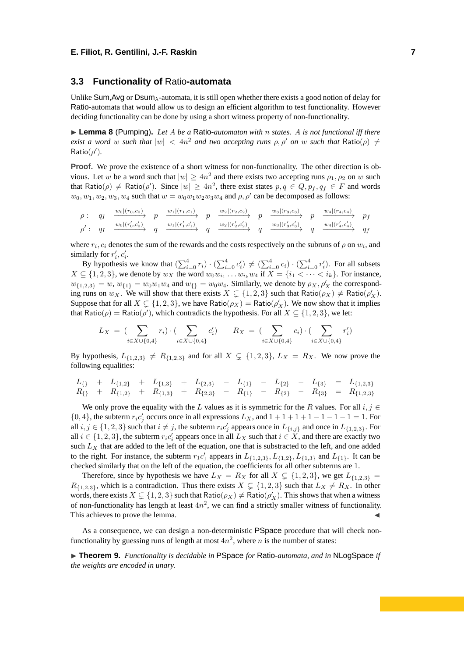#### **3.3 Functionality of** Ratio**-automata**

Unlike Sum,Avg or Dsum*λ*-automata, it is still open whether there exists a good notion of delay for Ratio-automata that would allow us to design an efficient algorithm to test functionality. However deciding functionality can be done by using a short witness property of non-functionality.

◮ **Lemma 8** (Pumping)**.** *Let A be a* Ratio*-automaton with n states. A is not functional iff there exist a word w such that*  $|w| < 4n^2$  *and two accepting runs*  $\rho, \rho'$  *on w such that* Ratio( $\rho$ )  $\neq$  $Ratio(\rho').$ 

**Proof.** We prove the existence of a short witness for non-functionality. The other direction is obvious. Let *w* be a word such that  $|w| \ge 4n^2$  and there exists two accepting runs  $\rho_1, \rho_2$  on *w* such that Ratio( $\rho$ )  $\neq$  Ratio( $\rho'$ ). Since  $|w| \geq 4n^2$ , there exist states  $p, q \in Q, p_f, q_f \in F$  and words  $w_0, w_1, w_2, w_3, w_4$  such that  $w = w_0w_1w_2w_3w_4$  and  $\rho, \rho'$  can be decomposed as follows:

$$
\rho: \quad q_I \quad \xrightarrow{w_0|(r_0,c_0)} p \quad \xrightarrow{w_1|(r_1,c_1)} p \quad \xrightarrow{w_2|(r_2,c_2)} p \quad \xrightarrow{w_3|(r_3,c_3)} p \quad \xrightarrow{w_4|(r_4,c_4)} p_f
$$
\n
$$
\rho': \quad q_I \quad \xrightarrow{w_0|(r'_0,c'_0)} q \quad \xrightarrow{w_1|(r'_1,c'_1)} q \quad \xrightarrow{w_2|(r'_2,c'_2)} q \quad \xrightarrow{w_3|(r'_3,c'_3)} q \quad \xrightarrow{w_4|(r'_4,c'_4)} q_f
$$

where  $r_i$ ,  $c_i$  denotes the sum of the rewards and the costs respectively on the subruns of  $\rho$  on  $w_i$ , and similarly for  $r'_i, c'_i$ .

By hypothesis we know that  $(\sum_{i=0}^{4} r_i) \cdot (\sum_{i=0}^{4} c'_i) \neq (\sum_{i=0}^{4} c_i) \cdot (\sum_{i=0}^{4} r'_i)$ . For all subsets  $X \subseteq \{1, 2, 3\}$ , we denote by  $w_X$  the word  $w_0w_{i_1} \ldots w_{i_k}w_4$  if  $X = \{i_1 < \cdots < i_k\}$ . For instance,  $w_{\{1,2,3\}} = w$ ,  $w_{\{1\}} = w_0w_1w_4$  and  $w_{\{\} = w_0w_4$ . Similarly, we denote by  $\rho_X, \rho'_X$  the corresponding runs on  $w_X$ . We will show that there exists  $X \subsetneq \{1, 2, 3\}$  such that  $Ratio(\rho_X) \neq Ratio(\rho'_X)$ . Suppose that for all  $X \subsetneq \{1, 2, 3\}$ , we have Ratio( $\rho_X$ ) = Ratio( $\rho'_X$ ). We now show that it implies that Ratio( $\rho$ ) = Ratio( $\rho'$ ), which contradicts the hypothesis. For all  $X \subseteq \{1, 2, 3\}$ , we let:

$$
L_X = (\sum_{i \in X \cup \{0,4\}} r_i) \cdot (\sum_{i \in X \cup \{0,4\}} c'_i) \qquad R_X = (\sum_{i \in X \cup \{0,4\}} c_i) \cdot (\sum_{i \in X \cup \{0,4\}} r'_i)
$$

By hypothesis,  $L_{\{1,2,3\}} \neq R_{\{1,2,3\}}$  and for all  $X \subsetneq \{1,2,3\}$ ,  $L_X = R_X$ . We now prove the following equalities:

$$
L_{\{\}} + L_{\{1,2\}} + L_{\{1,3\}} + L_{\{2,3\}} - L_{\{1\}} - L_{\{2\}} - L_{\{3\}} = L_{\{1,2,3\}}
$$
  
\n
$$
R_{\{\}} + R_{\{1,2\}} + R_{\{1,3\}} + R_{\{2,3\}} - R_{\{1\}} - R_{\{2\}} - R_{\{3\}} = R_{\{1,2,3\}}
$$

We only prove the equality with the *L* values as it is symmetric for the *R* values. For all  $i, j \in$  $\{0, 4\}$ , the subterm  $r_i c'_j$  occurs once in all expressions  $L_X$ , and  $1 + 1 + 1 + 1 - 1 - 1 - 1 = 1$ . For all  $i, j \in \{1, 2, 3\}$  such that  $i \neq j$ , the subterm  $r_i c'_j$  appears once in  $L_{\{i,j\}}$  and once in  $L_{\{1,2,3\}}$ . For all  $i \in \{1, 2, 3\}$ , the subterm  $r_i c'_i$  appears once in all  $L_X$  such that  $i \in X$ , and there are exactly two such  $L_X$  that are added to the left of the equation, one that is substracted to the left, and one added to the right. For instance, the subterm  $r_1c'_1$  appears in  $L_{\{1,2,3\}}$ *,*  $L_{\{1,2\}}$ *,*  $L_{\{1,3\}}$  and  $L_{\{1\}}$ *.* It can be checked similarly that on the left of the equation, the coefficients for all other subterms are 1.

Therefore, since by hypothesis we have  $L_X = R_X$  for all  $X \subsetneq \{1, 2, 3\}$ , we get  $L_{\{1,2,3\}} =$  $R_{\{1,2,3\}}$ , which is a contradiction. Thus there exists  $X \subsetneq \{1,2,3\}$  such that  $L_X \neq R_X$ . In other words, there exists  $X \subsetneq \{1, 2, 3\}$  such that  $Ratio(\rho_X) \neq Ratio(\rho'_X)$ . This shows that when a witness of non-functionality has length at least  $4n^2$ , we can find a strictly smaller witness of functionality. This achieves to prove the lemma.

As a consequence, we can design a non-deterministic PSpace procedure that will check nonfunctionality by guessing runs of length at most  $4n^2$ , where *n* is the number of states:

<span id="page-7-0"></span>◮ **Theorem 9.** *Functionality is decidable in* PSpace *for* Ratio*-automata, and in* NLogSpace *if the weights are encoded in unary.*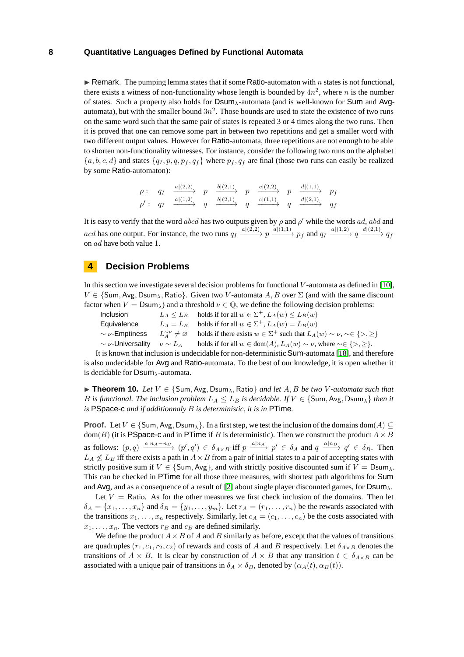$\triangleright$  Remark. The pumping lemma states that if some Ratio-automaton with *n* states is not functional, there exists a witness of non-functionality whose length is bounded by  $4n^2$ , where *n* is the number of states. Such a property also holds for Dsum*λ*-automata (and is well-known for Sum and Avgautomata), but with the smaller bound  $3n^2$ . Those bounds are used to state the existence of two runs on the same word such that the same pair of states is repeated 3 or 4 times along the two runs. Then it is proved that one can remove some part in between two repetitions and get a smaller word with two different output values. However for Ratio-automata, three repetitions are not enough to be able to shorten non-functionality witnesses. For instance, consider the following two runs on the alphabet  ${a, b, c, d}$  and states  ${q_I, p, q, p_f, q_f}$  where  $p_f, q_f$  are final (those two runs can easily be realized by some Ratio-automaton):

$$
\rho: \quad q_I \quad \xrightarrow{a|(2,2)} \quad p \quad \xrightarrow{b|(2,1)} \quad p \quad \xrightarrow{c|(2,2)} \quad p \quad \xrightarrow{d|(1,1)} \quad p_f
$$
\n
$$
\rho': \quad q_I \quad \xrightarrow{a|(1,2)} \quad q \quad \xrightarrow{b|(2,1)} \quad q \quad \xrightarrow{c|(1,1)} \quad q \quad \xrightarrow{d|(2,1)} \quad q_f
$$

It is easy to verify that the word *abcd* has two outputs given by  $\rho$  and  $\rho'$  while the words *ad*, *abd* and acd has one output. For instance, the two runs  $q_I \xrightarrow{a|(2,2)} p \xrightarrow{d|(1,1)} p_f$  and  $q_I \xrightarrow{a|(1,2)} q \xrightarrow{d|(2,1)} q_f$ on *ad* have both value 1.

## **4 Decision Problems**

In this section we investigate several decision problems for functional *V* -automata as defined in [\[10\]](#page-12-0),  $V \in \{\text{Sum}, \text{Avg}, \text{DSum}_{\lambda}, \text{Ratio}\}\$ . Given two *V*-automata *A, B* over  $\Sigma$  (and with the same discount factor when  $V = \text{Dsum}_{\lambda}$ ) and a threshold  $\nu \in \mathbb{Q}$ , we define the following decision problems:

Inclusion

\n
$$
L_A \leq L_B \quad \text{holds if for all } w \in \Sigma^+, L_A(w) \leq L_B(w)
$$
\nEquivalence

\n
$$
L_A = L_B \quad \text{holds if for all } w \in \Sigma^+, L_A(w) = L_B(w)
$$
\n
$$
\sim \nu \text{-Emptiness}
$$
\n
$$
L_A^{\sim \nu} \neq \emptyset \quad \text{holds if there exists } w \in \Sigma^+ \text{ such that } L_A(w) \sim \nu, \, \sim \in \{>, \geq\}
$$
\n
$$
\sim \nu \text{-Universality}
$$
\n
$$
\nu \sim L_A \quad \text{holds if for all } w \in \text{dom}(A), L_A(w) \sim \nu, \text{ where } \sim \in \{>, \geq\}.
$$
\nii is known that inclusion is undefined to form a statement [18] and then

It is known that inclusion is undecidable for non-deterministic Sum-automata [\[18\]](#page-12-19), and therefore is also undecidable for Avg and Ratio-automata. To the best of our knowledge, it is open whether it is decidable for Dsum*λ*-automata.

◮ **Theorem 10.** *Let V* ∈ {Sum*,* Avg*,* Dsum*λ,* Ratio} *and let A, B be two V -automata such that B is functional. The inclusion problem*  $L_A \leq L_B$  *is decidable. If*  $V \in \{Sum, Avg, Dsum_A\}$  *then it is* PSpace-c *and if additionnaly B is deterministic, it is in* PTime*.*

**Proof.** Let  $V \in \{Sum, Avg, Dsum<sub>\lambda</sub>\}$ . In a first step, we test the inclusion of the domains dom(*A*) ⊆  $dom(B)$  (it is PSpace-c and in PTime if *B* is deterministic). Then we construct the product  $A \times B$ as follows:  $(p,q) \xrightarrow{a|n_A-n_B} (p',q') \in \delta_{A \times B}$  iff  $p \xrightarrow{a|n_A} p' \in \delta_A$  and  $q \xrightarrow{a|n_B} q' \in \delta_B$ . Then  $L_A \nleq L_B$  iff there exists a path in  $A \times B$  from a pair of initial states to a pair of accepting states with strictly positive sum if  $V \in \{Sum, Avg\}$ , and with strictly positive discounted sum if  $V = Dsum_{\lambda}$ . This can be checked in PTime for all those three measures, with shortest path algorithms for Sum and Avg, and as a consequence of a result of [\[2\]](#page-12-20) about single player discounted games, for Dsum*λ*.

Let  $V =$  Ratio. As for the other measures we first check inclusion of the domains. Then let  $\delta_A = \{x_1, \ldots, x_n\}$  and  $\delta_B = \{y_1, \ldots, y_m\}$ . Let  $r_A = (r_1, \ldots, r_n)$  be the rewards associated with the transitions  $x_1, \ldots, x_n$  respectively. Similarly, let  $c_A = (c_1, \ldots, c_n)$  be the costs associated with  $x_1, \ldots, x_n$ . The vectors  $r_B$  and  $c_B$  are defined similarly.

We define the product  $A \times B$  of *A* and *B* similarly as before, except that the values of transitions are quadruples  $(r_1, c_1, r_2, c_2)$  of rewards and costs of *A* and *B* respectively. Let  $\delta_{A \times B}$  denotes the transitions of  $A \times B$ . It is clear by construction of  $A \times B$  that any transition  $t \in \delta_{A \times B}$  can be associated with a unique pair of transitions in  $\delta_A \times \delta_B$ , denoted by  $(\alpha_A(t), \alpha_B(t))$ .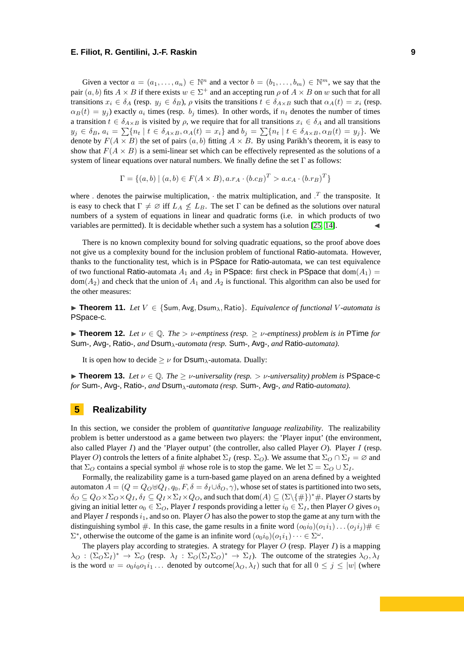Given a vector  $a = (a_1, \ldots, a_n) \in \mathbb{N}^n$  and a vector  $b = (b_1, \ldots, b_m) \in \mathbb{N}^m$ , we say that the pair  $(a, b)$  fits  $A \times B$  if there exists  $w \in \Sigma^+$  and an accepting run  $\rho$  of  $A \times B$  on  $w$  such that for all transitions  $x_i \in \delta_A$  (resp.  $y_j \in \delta_B$ ),  $\rho$  visits the transitions  $t \in \delta_{A \times B}$  such that  $\alpha_A(t) = x_i$  (resp.  $\alpha_B(t) = y_j$ ) exactly  $a_i$  times (resp.  $b_j$  times). In other words, if  $n_t$  denotes the number of times a transition  $t \in \delta_{A \times B}$  is visited by  $\rho$ , we require that for all transitions  $x_i \in \delta_A$  and all transitions  $y_j \in \delta_B$ ,  $a_i = \sum \{n_t | t \in \delta_{A \times B}$ ,  $\alpha_A(t) = x_i\}$  and  $b_j = \sum \{n_t | t \in \delta_{A \times B}$ ,  $\alpha_B(t) = y_j\}$ . We denote by  $F(A \times B)$  the set of pairs  $(a, b)$  fitting  $A \times B$ . By using Parikh's theorem, it is easy to show that  $F(A \times B)$  is a semi-linear set which can be effectively represented as the solutions of a system of linear equations over natural numbers. We finally define the set  $\Gamma$  as follows:

$$
\Gamma = \{(a, b) \mid (a, b) \in F(A \times B), a.r_A \cdot (b.c_B)^T > a.c_A \cdot (b.r_B)^T\}
$$

where  $\cdot$  denotes the pairwise multiplication,  $\cdot$  the matrix multiplication, and  $\cdot$ <sup>T</sup> the transposite. It is easy to check that  $\Gamma \neq \emptyset$  iff  $L_A \nleq L_B$ . The set  $\Gamma$  can be defined as the solutions over natural numbers of a system of equations in linear and quadratic forms (i.e. in which products of two variables are permitted). It is decidable whether such a system has a solution  $[25, 14]$  $[25, 14]$ .

There is no known complexity bound for solving quadratic equations, so the proof above does not give us a complexity bound for the inclusion problem of functional Ratio-automata. However, thanks to the functionality test, which is in PSpace for Ratio-automata, we can test equivalence of two functional Ratio-automata  $A_1$  and  $A_2$  in PSpace: first check in PSpace that dom( $A_1$ ) =  $dom(A_2)$  and check that the union of  $A_1$  and  $A_2$  is functional. This algorithm can also be used for the other measures:

◮ **Theorem 11.** *Let V* ∈ {Sum*,* Avg*,* Dsum*λ,* Ratio}*. Equivalence of functional V -automata is* PSpace-c*.*

<span id="page-9-0"></span>**Theorem 12.** Let  $v \in \mathbb{Q}$ . The  $> v$ -emptiness (resp.  $\geq v$ -emptiness) problem is in PTime for Sum*-,* Avg*-,* Ratio*-, and* Dsum*λ-automata (resp.* Sum*-,* Avg*-, and* Ratio*-automata).*

It is open how to decide  $>$   $\nu$  for Dsum<sub> $\lambda$ </sub>-automata. Dually:

<span id="page-9-1"></span>**Theorem 13.** Let  $\nu \in \mathbb{Q}$ . The  $\geq \nu$ -universality (resp.  $> \nu$ -universality) problem is PSpace-c *for* Sum*-,* Avg*-,* Ratio*-, and* Dsum*λ-automata (resp.* Sum*-,* Avg*-, and* Ratio*-automata).*

#### **5 Realizability**

In this section, we consider the problem of *quantitative language realizability*. The realizability problem is better understood as a game between two players: the 'Player input' (the environment, also called Player *I*) and the 'Player output' (the controller, also called Player *O*). Player *I* (resp. Player *O*) controls the letters of a finite alphabet  $\Sigma_I$  (resp.  $\Sigma_O$ ). We assume that  $\Sigma_O \cap \Sigma_I = \emptyset$  and that  $\Sigma_O$  contains a special symbol # whose role is to stop the game. We let  $\Sigma = \Sigma_O \cup \Sigma_I$ .

Formally, the realizability game is a turn-based game played on an arena defined by a weighted automaton  $A = (Q = Q_0 \oplus Q_I, q_0, F, \delta = \delta_I \cup \delta_O, \gamma)$ , whose set of states is partitioned into two sets,  $\delta_O \subseteq Q_O \times \Sigma_O \times Q_I$ ,  $\delta_I \subseteq Q_I \times \Sigma_I \times Q_O$ , and such that  $dom(A) \subseteq (\Sigma \setminus \{\#\})^* \#$ . Player *O* starts by giving an initial letter  $o_0 \in \Sigma_O$ , Player *I* responds providing a letter  $i_0 \in \Sigma_I$ , then Player *O* gives  $o_1$ and Player *I* responds  $i_1$ , and so on. Player *O* has also the power to stop the game at any turn with the distinguishing symbol #. In this case, the game results in a finite word  $(o_0i_0)(o_1i_1)\dots(o_1i_i)$  #  $\in$  $\Sigma^*$ , otherwise the outcome of the game is an infinite word  $(o_0i_0)(o_1i_1)\cdots \in \Sigma^\omega$ .

The players play according to strategies. A strategy for Player *O* (resp. Player *I*) is a mapping  $\lambda_O$  :  $(\Sigma_O \Sigma_I)^* \to \Sigma_O$  (resp.  $\lambda_I : \Sigma_O (\Sigma_I \Sigma_O)^* \to \Sigma_I$ ). The outcome of the strategies  $\lambda_O, \lambda_I$ is the word  $w = o_0 i_0 o_1 i_1 \dots$  denoted by outcome( $\lambda_O, \lambda_I$ ) such that for all  $0 \leq j \leq |w|$  (where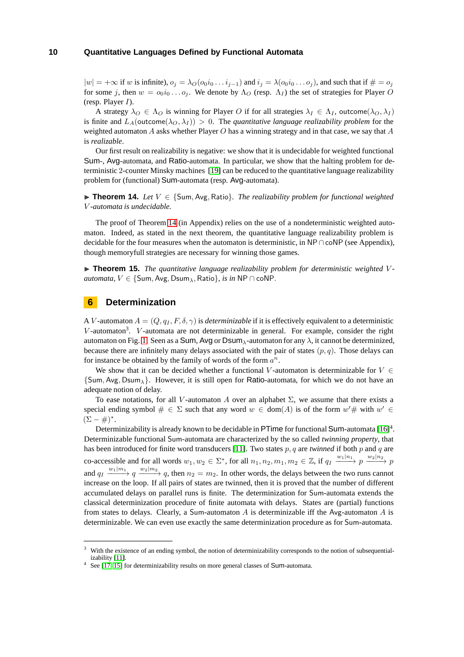$|w| = +\infty$  if w is infinite),  $o_i = \lambda_o(o_0 i_0 \dots i_{i-1})$  and  $i_i = \lambda(o_0 i_0 \dots o_i)$ , and such that if  $\# = o_i$ for some *j*, then  $w = o_0 i_0 \ldots o_j$ . We denote by  $\Lambda_O$  (resp.  $\Lambda_I$ ) the set of strategies for Player O (resp. Player *I*).

A strategy  $\lambda_O \in \Lambda_O$  is winning for Player *O* if for all strategies  $\lambda_I \in \Lambda_I$ , outcome $(\lambda_O, \lambda_I)$ is finite and  $L_A(\text{outcome}(\lambda_O, \lambda_I)) > 0$ . The *quantitative language realizability problem* for the weighted automaton *A* asks whether Player *O* has a winning strategy and in that case, we say that *A* is *realizable*.

Our first result on realizability is negative: we show that it is undecidable for weighted functional Sum-, Avg-automata, and Ratio-automata. In particular, we show that the halting problem for deterministic 2-counter Minsky machines [\[19\]](#page-12-22) can be reduced to the quantitative language realizability problem for (functional) Sum-automata (resp. Avg-automata).

<span id="page-10-0"></span>◮ **Theorem 14.** *Let V* ∈ {Sum*,* Avg*,* Ratio}*. The realizability problem for functional weighted V -automata is undecidable.*

The proof of Theorem [14](#page-10-0) (in Appendix) relies on the use of a nondeterministic weighted automaton. Indeed, as stated in the next theorem, the quantitative language realizability problem is decidable for the four measures when the automaton is deterministic, in NP∩coNP (see Appendix), though memoryfull strategies are necessary for winning those games.

<span id="page-10-1"></span>► **Theorem 15.** *The quantitative language realizability problem for deterministic weighted V automata,*  $V \in \{Sum, Avg, Dsum_\lambda, Ratio\}$ *, is in* NP ∩ coNP.

## **6 Determinization**

A *V*-automaton  $A = (Q, q_I, F, \delta, \gamma)$  is *determinizable* if it is effectively equivalent to a deterministic V-automaton<sup>3</sup>. V-automata are not determinizable in general. For example, consider the right automaton on Fig. [1.](#page-4-0) Seen as a Sum, Avg or Dsum*λ*-automaton for any *λ*, it cannot be determinized, because there are infinitely many delays associated with the pair of states  $(p, q)$ . Those delays can for instance be obtained by the family of words of the form *a n*.

We show that it can be decided whether a functional *V*-automaton is determinizable for  $V \in$ {Sum*,* Avg*,* Dsum*λ*}. However, it is still open for Ratio-automata, for which we do not have an adequate notion of delay.

To ease notations, for all *V*-automaton *A* over an alphabet  $\Sigma$ , we assume that there exists a special ending symbol  $\# \in \Sigma$  such that any word  $w \in \text{dom}(A)$  is of the form  $w' \#$  with  $w' \in$  $(\Sigma - \#)^*$ .

Determinizability is already known to be decidable in PTime for functional Sum-automata  $[16]^4$  $[16]^4$ . Determinizable functional Sum-automata are characterized by the so called *twinning property*, that has been introduced for finite word transducers [\[11\]](#page-12-15). Two states *p, q* are *twinned* if both *p* and *q* are co-accessible and for all words  $w_1, w_2 \in \Sigma^*$ , for all  $n_1, n_2, m_1, m_2 \in \mathbb{Z}$ , if  $q_I \xrightarrow{w_1|n_1} p \xrightarrow{w_2|n_2} p$ and  $q_I \xrightarrow{w_1|m_1} q \xrightarrow{w_2|m_2} q$ , then  $n_2 = m_2$ . In other words, the delays between the two runs cannot increase on the loop. If all pairs of states are twinned, then it is proved that the number of different accumulated delays on parallel runs is finite. The determinization for Sum-automata extends the classical determinization procedure of finite automata with delays. States are (partial) functions from states to delays. Clearly, a Sum-automaton *A* is determinizable iff the Avg-automaton *A* is determinizable. We can even use exactly the same determinization procedure as for Sum-automata.

<sup>3</sup> With the existence of an ending symbol, the notion of determinizability corresponds to the notion of subsequentializability [\[11\]](#page-12-15).

<sup>&</sup>lt;sup>4</sup> See [\[17,](#page-12-23) [15\]](#page-12-11) for determinizability results on more general classes of Sum-automata.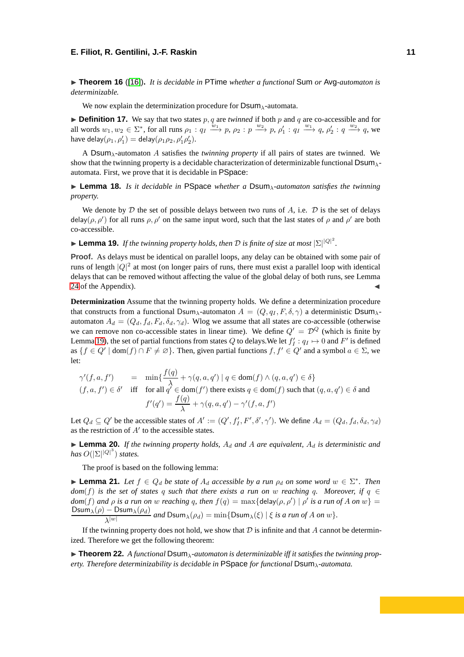◮ **Theorem 16** ([\[16\]](#page-12-9))**.** *It is decidable in* PTime *whether a functional* Sum *or* Avg*-automaton is determinizable.*

We now explain the determinization procedure for Dsum*λ*-automata.

 $\triangleright$  **Definition 17.** We say that two states  $p, q$  are *twinned* if both  $p$  and  $q$  are co-accessible and for all words  $w_1, w_2 \in \Sigma^*$ , for all runs  $\rho_1 : q_1 \xrightarrow{w_1} p, \rho_2 : p \xrightarrow{w_2} p, \rho'_1 : q_1 \xrightarrow{w_1} q, \rho'_2 : q \xrightarrow{w_2} q$ , we have delay $(\rho_1, \rho_1') =$  delay $(\rho_1 \rho_2, \rho_1' \rho_2').$ 

A Dsum*λ*-automaton *A* satisfies the *twinning property* if all pairs of states are twinned. We show that the twinning property is a decidable characterization of determinizable functional Dsum*λ*automata. First, we prove that it is decidable in PSpace:

<span id="page-11-1"></span>◮ **Lemma 18.** *Is it decidable in* PSpace *whether a* Dsum*λ-automaton satisfies the twinning property.*

We denote by  $D$  the set of possible delays between two runs of  $A$ , i.e.  $D$  is the set of delays delay( $\rho$ ,  $\rho'$ ) for all runs  $\rho$ ,  $\rho'$  on the same input word, such that the last states of  $\rho$  and  $\rho'$  are both co-accessible.

<span id="page-11-0"></span> $\blacktriangleright$  **Lemma 19.** *If the twinning property holds, then D is finite of size at most*  $|\Sigma|^{|Q|^2}$ *.* 

**Proof.** As delays must be identical on parallel loops, any delay can be obtained with some pair of runs of length  $|Q|^2$  at most (on longer pairs of runs, there must exist a parallel loop with identical delays that can be removed without affecting the value of the global delay of both runs, see Lemma  $24$  of the Appendix).

**Determinization** Assume that the twinning property holds. We define a determinization procedure that constructs from a functional Dsum<sub> $\lambda$ </sub>-automaton  $A = (Q, q_I, F, \delta, \gamma)$  a deterministic Dsum $\lambda$ automaton  $A_d = (Q_d, f_d, F_d, \delta_d, \gamma_d)$ . Wlog we assume that all states are co-accessible (otherwise we can remove non co-accessible states in linear time). We define  $Q' = \mathcal{D}^Q$  (which is finite by Lemma [19\)](#page-11-0), the set of partial functions from states  $Q$  to delays. We let  $f'_I: q_I \mapsto 0$  and  $F'$  is defined as  $\{f \in Q' \mid \text{dom}(f) \cap F \neq \emptyset\}$ . Then, given partial functions  $f, f' \in Q'$  and a symbol  $a \in \Sigma$ , we let:

$$
\gamma'(f, a, f') = \min\left\{\frac{f(q)}{\lambda} + \gamma(q, a, q') \mid q \in \text{dom}(f) \land (q, a, q') \in \delta\right\}
$$
  
(f, a, f') \in \delta' \text{ iff for all } q' \in \text{dom}(f') \text{ there exists } q \in \text{dom}(f) \text{ such that } (q, a, q') \in \delta \text{ and}  

$$
f'(q') = \frac{f(q)}{\lambda} + \gamma(q, a, q') - \gamma'(f, a, f')
$$

Let  $Q_d \subseteq Q'$  be the accessible states of  $A' := (Q', f'_I, F', \delta', \gamma')$ . We define  $A_d = (Q_d, f_d, \delta_d, \gamma_d)$ as the restriction of *A*′ to the accessible states.

<span id="page-11-3"></span> $\blacktriangleright$  **Lemma 20.** *If the twinning property holds,*  $A_d$  *and*  $A$  *are equivalent,*  $A_d$  *is deterministic and*  $has$   $O(|\Sigma|^{|Q|^3})$  *states.* 

The proof is based on the following lemma:

<span id="page-11-2"></span>► **Lemma 21.** *Let*  $f \in Q_d$  *be state of*  $A_d$  *accessible by a run*  $\rho_d$  *on some word*  $w \in \Sigma^*$ *. Then dom*(*f*) is the set of states *q* such that there exists a run on *w* reaching *q*. Moreover, if  $q \in$  $dom(f)$  *and*  $\rho$  *is a run on w reaching q, then*  $f(q) = max{delay(\rho, \rho') | \rho'$  *is a run of*  $A$  *on*  $w$ } =  $\mathsf{Dsum}_{\lambda}(\rho)-\mathsf{Dsum}_{\lambda}(\rho_d)$  $\lambda^{|w|}$  and  $\textsf{Dsum}_{\lambda}(\rho_d) = \min\{\textsf{Dsum}_{\lambda}(\xi) | \xi \text{ is a run of } A \text{ on } w\}.$ 

If the twinning property does not hold, we show that  $D$  is infinite and that  $A$  cannot be determinized. Therefore we get the following theorem:

<span id="page-11-4"></span>◮ **Theorem 22.** *A functional* Dsum*λ-automaton is determinizable iff it satisfies the twinning property. Therefore determinizability is decidable in* PSpace *for functional* Dsum*λ-automata.*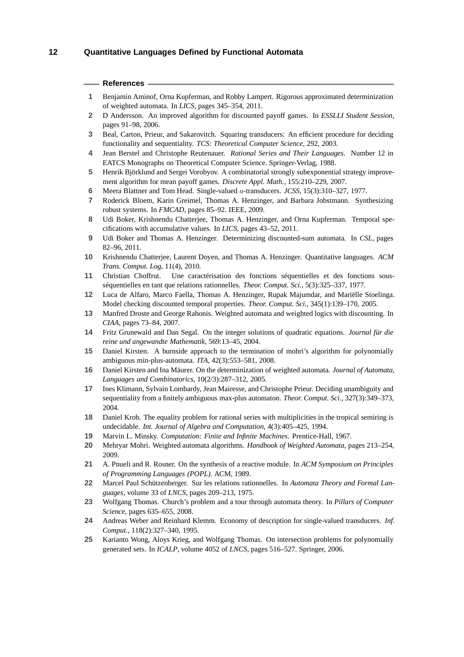#### <span id="page-12-2"></span>**References**

- <span id="page-12-20"></span>**1** Benjamin Aminof, Orna Kupferman, and Robby Lampert. Rigorous approximated determinization of weighted automata. In *LICS*, pages 345–354, 2011.
- <span id="page-12-14"></span>**2** D Andersson. An improved algorithm for discounted payoff games. In *ESSLLI Student Session*, pages 91–98, 2006.
- <span id="page-12-10"></span>**3** Beal, Carton, Prieur, and Sakarovitch. Squaring transducers: An efficient procedure for deciding functionality and sequentiality. *TCS: Theoretical Computer Science*, 292, 2003.
- <span id="page-12-24"></span>**4** Jean Berstel and Christophe Reutenauer. *Rational Series and Their Languages*. Number 12 in EATCS Monographs on Theoretical Computer Science. Springer-Verlag, 1988.
- <span id="page-12-13"></span>**5** Henrik Björklund and Sergei Vorobyov. A combinatorial strongly subexponential strategy improvement algorithm for mean payoff games. *Discrete Appl. Math.*, 155:210–229, 2007.
- <span id="page-12-5"></span>**6** Meera Blattner and Tom Head. Single-valued *a*-transducers. *JCSS*, 15(3):310–327, 1977.
- **7** Roderick Bloem, Karin Greimel, Thomas A. Henzinger, and Barbara Jobstmann. Synthesizing robust systems. In *FMCAD*, pages 85–92. IEEE, 2009.
- <span id="page-12-17"></span><span id="page-12-1"></span>**8** Udi Boker, Krishnendu Chatterjee, Thomas A. Henzinger, and Orna Kupferman. Temporal specifications with accumulative values. In *LICS*, pages 43–52, 2011.
- **9** Udi Boker and Thomas A. Henzinger. Determinizing discounted-sum automata. In *CSL*, pages 82–96, 2011.
- <span id="page-12-15"></span><span id="page-12-0"></span>**10** Krishnendu Chatterjee, Laurent Doyen, and Thomas A. Henzinger. Quantitative languages. *ACM Trans. Comput. Log*, 11(4), 2010.
- **11** Christian Choffrut. Une caractérisation des fonctions séquentielles et des fonctions sousséquentielles en tant que relations rationnelles. *Theor. Comput. Sci.*, 5(3):325–337, 1977.
- <span id="page-12-4"></span>**12** Luca de Alfaro, Marco Faella, Thomas A. Henzinger, Rupak Majumdar, and Mariëlle Stoelinga. Model checking discounted temporal properties. *Theor. Comput. Sci.*, 345(1):139–170, 2005.
- <span id="page-12-18"></span><span id="page-12-6"></span>**13** Manfred Droste and George Rahonis. Weighted automata and weighted logics with discounting. In *CIAA*, pages 73–84, 2007.
- **14** Fritz Grunewald and Dan Segal. On the integer solutions of quadratic equations. *Journal für die reine und angewandte Mathematik*, 569:13–45, 2004.
- <span id="page-12-11"></span>**15** Daniel Kirsten. A burnside approach to the termination of mohri's algorithm for polynomially ambiguous min-plus-automata. *ITA*, 42(3):553–581, 2008.
- <span id="page-12-9"></span>**16** Daniel Kirsten and Ina Mäurer. On the determinization of weighted automata. *Journal of Automata, Languages and Combinatorics*, 10(2/3):287–312, 2005.
- <span id="page-12-23"></span>**17** Ines Klimann, Sylvain Lombardy, Jean Mairesse, and Christophe Prieur. Deciding unambiguity and sequentiality from a finitely ambiguous max-plus automaton. *Theor. Comput. Sci.*, 327(3):349–373, 2004.
- <span id="page-12-19"></span>**18** Daniel Krob. The equality problem for rational series with multiplicities in the tropical semiring is undecidable. *Int. Journal of Algebra and Computation*, 4(3):405–425, 1994.
- <span id="page-12-22"></span><span id="page-12-3"></span>**19** Marvin L. Minsky. *Computation: Finite and Infinite Machines*. Prentice-Hall, 1967.
- <span id="page-12-8"></span>**20** Mehryar Mohri. Weighted automata algorithms. *Handbook of Weighted Automata*, pages 213–254, 2009.
- **21** A. Pnueli and R. Rosner. On the synthesis of a reactive module. In *ACM Symposium on Principles of Programming Languages (POPL)*. ACM, 1989.
- <span id="page-12-12"></span>**22** Marcel Paul Schützenberger. Sur les relations rationnelles. In *Automata Theory and Formal Languages*, volume 33 of *LNCS*, pages 209–213, 1975.
- <span id="page-12-7"></span>**23** Wolfgang Thomas. Church's problem and a tour through automata theory. In *Pillars of Computer Science*, pages 635–655, 2008.
- <span id="page-12-16"></span>**24** Andreas Weber and Reinhard Klemm. Economy of description for single-valued transducers. *Inf. Comput.*, 118(2):327–340, 1995.
- <span id="page-12-21"></span>**25** Karianto Wong, Aloys Krieg, and Wolfgang Thomas. On intersection problems for polynomially generated sets. In *ICALP*, volume 4052 of *LNCS*, pages 516–527. Springer, 2006.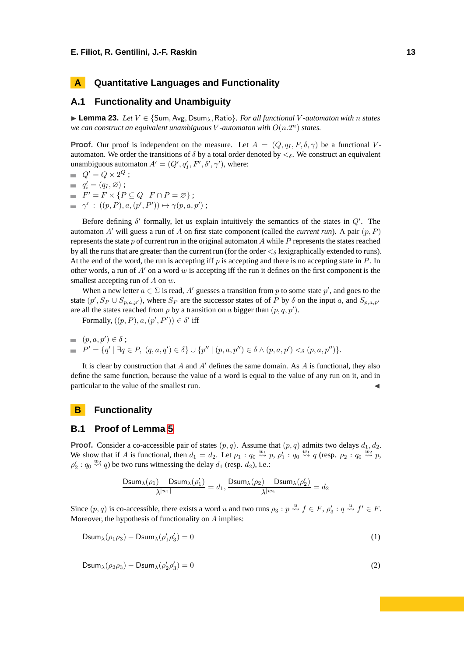## **A Quantitative Languages and Functionality**

## **A.1 Functionality and Unambiguity**

◮ **Lemma 23.** *Let V* ∈ {Sum*,* Avg*,* Dsum*λ,* Ratio}*. For all functional V -automaton with n states we can construct an equivalent unambiguous V*-automaton with  $O(n.2^n)$  states.

**Proof.** Our proof is independent on the measure. Let  $A = (Q, q_I, F, \delta, \gamma)$  be a functional *V*automaton. We order the transitions of *δ* by a total order denoted by *<δ*. We construct an equivalent unambiguous automaton  $A' = (Q', q'_I, F', \delta', \gamma')$ , where:

$$
Q' = Q \times 2^Q ;
$$

- $q_i' = (q_I, \varnothing)$ ;
- $F' = F \times \{ P \subseteq Q \mid F \cap P = \varnothing \};$
- $\gamma'$  :  $((p, P), a, (p', P')) \mapsto \gamma(p, a, p')$ ;

Before defining *δ* ′ formally, let us explain intuitively the semantics of the states in *Q*′ . The automaton *A*′ will guess a run of *A* on first state component (called the *current run*). A pair (*p, P*) represents the state *p* of current run in the original automaton *A* while *P* represents the states reached by all the runs that are greater than the current run (for the order *<<sup>δ</sup>* lexigraphically extended to runs). At the end of the word, the run is accepting iff *p* is accepting and there is no accepting state in *P*. In other words, a run of *A*′ on a word *w* is accepting iff the run it defines on the first component is the smallest accepting run of *A* on *w*.

When a new letter  $a \in \Sigma$  is read, A' guesses a transition from p to some state p', and goes to the state  $(p', S_P \cup S_{p,a,p'})$ , where  $S_P$  are the successor states of of *P* by  $\delta$  on the input *a*, and  $S_{p,a,p'}$ are all the states reached from  $p$  by a transition on  $a$  bigger than  $(p, q, p')$ .

Formally,  $((p, P), a, (p', P')) \in \delta'$  iff

$$
(p, a, p') \in \delta ;\n= P' = \{q' \mid \exists q \in P, (q, a, q') \in \delta\} \cup \{p'' \mid (p, a, p'') \in \delta \wedge (p, a, p') <_{\delta} (p, a, p'')\}.
$$

It is clear by construction that *A* and *A*′ defines the same domain. As *A* is functional, they also define the same function, because the value of a word is equal to the value of any run on it, and in particular to the value of the smallest run.

## **B** Functionality

#### **B.1 Proof of Lemma [5](#page-6-0)**

**Proof.** Consider a co-accessible pair of states  $(p, q)$ . Assume that  $(p, q)$  admits two delays  $d_1, d_2$ . We show that if *A* is functional, then  $d_1 = d_2$ . Let  $\rho_1 : q_0 \stackrel{w_1}{\leadsto} p$ ,  $\rho_1' : q_0 \stackrel{w_1}{\leadsto} q$  (resp.  $\rho_2 : q_0 \stackrel{w_2}{\leadsto} p$ ,  $\rho'_2$ : *q*<sub>0</sub>  $\stackrel{w_2}{\leadsto}$  *q*) be two runs witnessing the delay *d*<sub>1</sub> (resp. *d*<sub>2</sub>), i.e.:

<span id="page-13-0"></span>
$$
\frac{\text{Dsum}_\lambda(\rho_1)-\text{Dsum}_\lambda(\rho_1')}{\lambda^{|w_1|}}=d_1, \frac{\text{Dsum}_\lambda(\rho_2)-\text{Dsum}_\lambda(\rho_2')}{\lambda^{|w_2|}}=d_2
$$

Since  $(p, q)$  is co-accessible, there exists a word *u* and two runs  $\rho_3 : p \stackrel{u}{\leadsto} f \in F$ ,  $\rho'_3 : q \stackrel{u}{\leadsto} f' \in F$ . Moreover, the hypothesis of functionality on *A* implies:

$$
\text{Dsum}_{\lambda}(\rho_1 \rho_3) - \text{Dsum}_{\lambda}(\rho'_1 \rho'_3) = 0 \tag{1}
$$

<span id="page-13-1"></span> $\mathsf{Dsum}_{\lambda}(\rho_2\rho_3)-\mathsf{Dsum}_{\lambda}(\rho_2'\rho_3')$  $) = 0$  (2)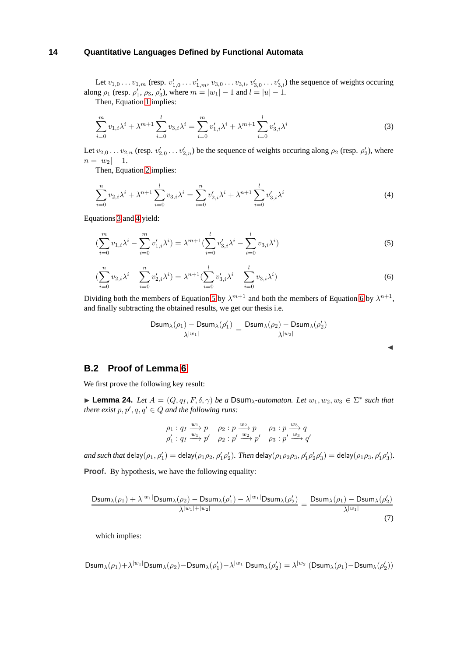Let  $v_{1,0} \ldots v_{1,m}$  (resp.  $v'_{1,0} \ldots v'_{1,m}$ ,  $v_{3,0} \ldots v_{3,l}$ ,  $v'_{3,0} \ldots v'_{3,l}$ ) the sequence of weights occuring along  $\rho_1$  (resp.  $\rho'_1$ ,  $\rho_3$ ,  $\rho'_3$ ), where  $m = |w_1| - 1$  and  $l = |u| - 1$ .

<span id="page-14-1"></span>Then, Equation [1](#page-13-0) implies:

$$
\sum_{i=0}^{m} v_{1,i} \lambda^{i} + \lambda^{m+1} \sum_{i=0}^{l} v_{3,i} \lambda^{i} = \sum_{i=0}^{m} v'_{1,i} \lambda^{i} + \lambda^{m+1} \sum_{i=0}^{l} v'_{3,i} \lambda^{i}
$$
(3)

Let  $v_{2,0} \ldots v_{2,n}$  (resp.  $v'_{2,0} \ldots v'_{2,n}$ ) be the sequence of weights occuring along  $\rho_2$  (resp.  $\rho'_2$ ), where  $n = |w_2| - 1.$ 

<span id="page-14-2"></span>Then, Equation [2](#page-13-1) implies:

$$
\sum_{i=0}^{n} v_{2,i} \lambda^i + \lambda^{n+1} \sum_{i=0}^{l} v_{3,i} \lambda^i = \sum_{i=0}^{n} v'_{2,i} \lambda^i + \lambda^{n+1} \sum_{i=0}^{l} v'_{3,i} \lambda^i
$$
\n(4)

Equations [3](#page-14-1) and [4](#page-14-2) yield:

<span id="page-14-3"></span>
$$
\left(\sum_{i=0}^{m} v_{1,i} \lambda^{i} - \sum_{i=0}^{m} v'_{1,i} \lambda^{i}\right) = \lambda^{m+1} \left(\sum_{i=0}^{l} v'_{3,i} \lambda^{i} - \sum_{i=0}^{l} v_{3,i} \lambda^{i}\right)
$$
\n(5)

<span id="page-14-4"></span>
$$
\left(\sum_{i=0}^{n} v_{2,i} \lambda^{i} - \sum_{i=0}^{n} v'_{2,i} \lambda^{i}\right) = \lambda^{n+1} \left(\sum_{i=0}^{l} v'_{3,i} \lambda^{i} - \sum_{i=0}^{l} v_{3,i} \lambda^{i}\right)
$$
\n(6)

Dividing both the members of Equation [5](#page-14-3) by  $\lambda^{m+1}$  and both the members of Equation [6](#page-14-4) by  $\lambda^{n+1}$ , and finally subtracting the obtained results, we get our thesis i.e.

$$
\frac{\text{Dsum}_{\lambda}(\rho_1) - \text{Dsum}_{\lambda}(\rho_1')}{\lambda^{|w_1|}} = \frac{\text{Dsum}_{\lambda}(\rho_2) - \text{Dsum}_{\lambda}(\rho_2')}{\lambda^{|w_2|}}
$$

◭

### **B.2 Proof of Lemma [6](#page-6-1)**

We first prove the following key result:

<span id="page-14-0"></span>► **Lemma 24.** *Let*  $A = (Q, q_I, F, \delta, \gamma)$  *be a* Dsum<sub> $\lambda$ </sub>-automaton. Let  $w_1, w_2, w_3 \in \Sigma^*$  such that *there exist*  $p, p', q, q' \in Q$  *and the following runs:* 

$$
\rho_1: q_1 \xrightarrow{w_1} p \qquad \rho_2: p \xrightarrow{w_2} p \qquad \rho_3: p \xrightarrow{w_3} q
$$
  

$$
\rho'_1: q_1 \xrightarrow{w_1} p' \qquad \rho_2: p' \xrightarrow{w_2} p' \qquad \rho_3: p' \xrightarrow{w_3} q'
$$

and such that  $\mathsf{delay}(\rho_1, \rho'_1) = \mathsf{delay}(\rho_1 \rho_2, \rho'_1 \rho'_2)$ . Then  $\mathsf{delay}(\rho_1 \rho_2 \rho_3, \rho'_1 \rho'_2 \rho'_3) = \mathsf{delay}(\rho_1 \rho_3, \rho'_1 \rho'_3)$ .

**Proof.** By hypothesis, we have the following equality:

$$
\frac{\text{Dsum}_{\lambda}(\rho_1) + \lambda^{|w_1|} \text{Dsum}_{\lambda}(\rho_2) - \text{Dsum}_{\lambda}(\rho_1') - \lambda^{|w_1|} \text{Dsum}_{\lambda}(\rho_2')}{\lambda^{|w_1| + |w_2|}} = \frac{\text{Dsum}_{\lambda}(\rho_1) - \text{Dsum}_{\lambda}(\rho_2')}{\lambda^{|w_1|}}
$$
(7)

<span id="page-14-5"></span>which implies:

$$
\text{Dsum}_{\lambda}(\rho_1)+\lambda^{|w_1|}\text{Dsum}_{\lambda}(\rho_2)-\text{Dsum}_{\lambda}(\rho'_1)-\lambda^{|w_1|}\text{Dsum}_{\lambda}(\rho'_2)=\lambda^{|w_2|}(\text{Dsum}_{\lambda}(\rho_1)-\text{Dsum}_{\lambda}(\rho'_2))
$$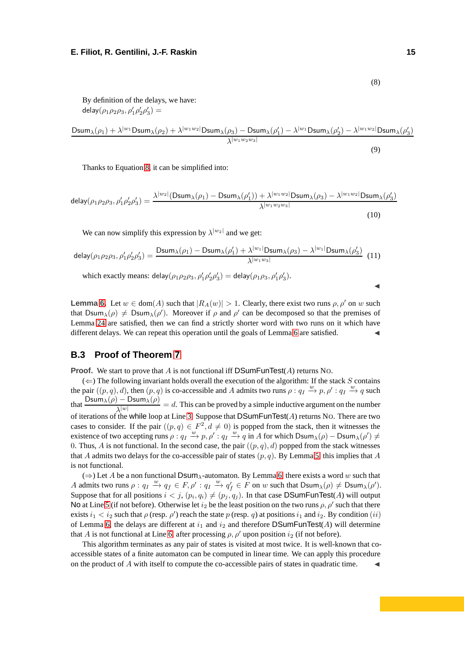By definition of the delays, we have: delay $(\rho_1 \rho_2 \rho_3, \rho'_1 \rho'_2 \rho'_3) =$ 

 ${\sf Dsum}_\lambda(\rho_1)+\lambda^{|w_1}{\sf Dsum}_\lambda(\rho_2)+\lambda^{|w_1w_2|}{\sf Dsum}_\lambda(\rho_3)-{\sf Dsum}_\lambda(\rho_1')-\lambda^{|w_1}{\sf Dsum}_\lambda(\rho_2')-\lambda^{|w_1w_2|}{\sf Dsum}_\lambda(\rho_3')$ *λ*|*w*1*w*2*w*3<sup>|</sup>

Thanks to Equation [8,](#page-14-5) it can be simplified into:

$$
delay(\rho_1 \rho_2 \rho_3, \rho'_1 \rho'_2 \rho'_3) = \frac{\lambda^{|w_2|} (\text{Dsum}_{\lambda}(\rho_1) - \text{Dsum}_{\lambda}(\rho'_1)) + \lambda^{|w_1 w_2|} \text{Dsum}_{\lambda}(\rho_3) - \lambda^{|w_1 w_2|} \text{Dsum}_{\lambda}(\rho'_3)}{\lambda^{|w_1 w_2 w_3|}}
$$
(10)

We can now simplify this expression by  $\lambda^{|w_2|}$  and we get:

$$
\mathsf{delay}(\rho_1 \rho_2 \rho_3, \rho'_1 \rho'_2 \rho'_3) = \frac{\mathsf{Dsum}_{\lambda}(\rho_1) - \mathsf{Dsum}_{\lambda}(\rho'_1) + \lambda^{|w_1|} \mathsf{Dsum}_{\lambda}(\rho_3) - \lambda^{|w_1|} \mathsf{Dsum}_{\lambda}(\rho'_3)}{\lambda^{|w_1 w_3|}} \tag{11}
$$

which exactly means: delay $(\rho_1 \rho_2 \rho_3, \rho'_1 \rho'_2 \rho'_3) =$  delay $(\rho_1 \rho_3, \rho'_1 \rho'_3)$ .

**Lemma** [6.](#page-6-1) Let  $w \in \text{dom}(A)$  such that  $|R_A(w)| > 1$ . Clearly, there exist two runs  $\rho, \rho'$  on w such that Dsum<sub> $\lambda$ </sub>( $\rho$ )  $\neq$  Dsum<sub> $\lambda$ </sub>( $\rho'$ ). Moreover if  $\rho$  and  $\rho'$  can be decomposed so that the premises of Lemma [24](#page-14-0) are satisfied, then we can find a strictly shorter word with two runs on it which have different delays. We can repeat this operation until the goals of Lemma [6](#page-6-1) are satisfied.

## **B.3 Proof of Theorem [7](#page-6-3)**

**Proof.** We start to prove that *A* is not functional iff DSumFunTest(*A*) returns NO.

 $(\Leftarrow)$  The following invariant holds overall the execution of the algorithm: If the stack *S* contains the pair  $((p, q), d)$ , then  $(p, q)$  is co-accessible and *A* admits two runs  $\rho : q_I \stackrel{w}{\to} p, \rho' : q_I \stackrel{w}{\to} q$  such that  $\frac{\text{Dsum}_{\lambda}(\rho) - \text{Dsum}_{\lambda}(\rho)}{n^{\lambda}$  = *d*. This can be proved by a simple inductive argument on the number *λ*<sup>|</sup>*w*<sup>|</sup> of iterations of the while loop at Line [3.](#page-6-4) Suppose that DSumFunTest(*A*) returns NO. There are two cases to consider. If the pair  $((p, q) \in F^2, d \neq 0)$  is popped from the stack, then it witnesses the existence of two accepting runs  $\rho: q_I \stackrel{w}{\to} p, \rho': q_I \stackrel{w}{\to} q$  in *A* for which Dsum<sub>*λ*</sub>( $\rho$ ) − Dsum<sub>*λ*</sub>( $\rho'$ ) ≠ 0. Thus,  $\vec{A}$  is not functional. In the second case, the pair  $((p, q), d)$  popped from the stack witnesses that *A* admits two delays for the co-accessible pair of states  $(p, q)$ . By Lemma [5,](#page-6-0) this implies that *A* is not functional.

(⇒) Let *A* be a non functional Dsum*λ*-automaton. By Lemma [6,](#page-6-1) there exists a word *w* such that A admits two runs  $\rho: q_I \stackrel{w}{\to} q_f \in F, \rho': q_I \stackrel{w}{\to} q'_f \in F$  on w such that  $\text{Dsum}_{\lambda}(\rho) \neq \text{Dsum}_{\lambda}(\rho').$ Suppose that for all positions  $i < j$ ,  $(p_i, q_i) \neq (p_j, q_j)$ . In that case DSumFunTest(*A*) will output No at Line [5](#page-6-5) (if not before). Otherwise let  $i_2$  be the least position on the two runs  $\rho$ ,  $\rho'$  such that there exists  $i_1 < i_2$  such that  $\rho$  (resp.  $\rho'$ ) reach the state  $p$  (resp.  $q$ ) at positions  $i_1$  and  $i_2$ . By condition  $(ii)$ of Lemma [6,](#page-6-1) the delays are different at  $i_1$  and  $i_2$  and therefore DSumFunTest(*A*) will determine that *A* is not functional at Line [6,](#page-6-2) after processing  $\rho$ ,  $\rho'$  upon position  $i_2$  (if not before).

This algorithm terminates as any pair of states is visited at most twice. It is well-known that coaccessible states of a finite automaton can be computed in linear time. We can apply this procedure on the product of  $A$  with itself to compute the co-accessible pairs of states in quadratic time.

(8)

(9)

◭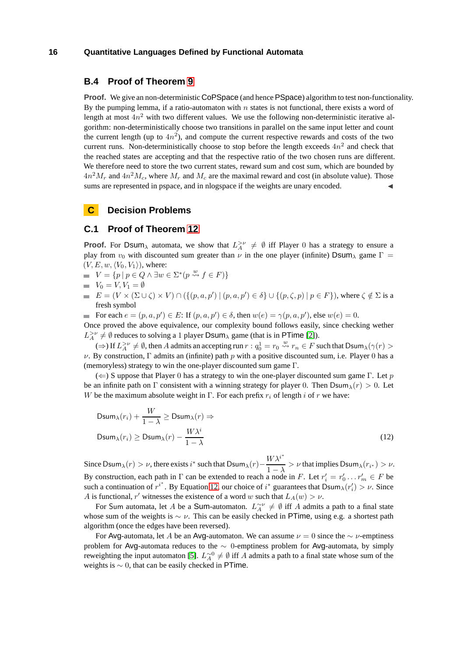## **B.4 Proof of Theorem [9](#page-7-0)**

**Proof.** We give an non-deterministic CoPSpace (and hence PSpace) algorithm to test non-functionality. By the pumping lemma, if a ratio-automaton with *n* states is not functional, there exists a word of length at most 4*n* <sup>2</sup> with two different values. We use the following non-deterministic iterative algorithm: non-deterministically choose two transitions in parallel on the same input letter and count the current length (up to  $4n^2$ ), and compute the current respective rewards and costs of the two current runs. Non-deterministically choose to stop before the length exceeds  $4n<sup>2</sup>$  and check that the reached states are accepting and that the respective ratio of the two chosen runs are different. We therefore need to store the two current states, reward sum and cost sum, which are bounded by  $4n^2M_r$  and  $4n^2M_c$ , where  $M_r$  and  $M_c$  are the maximal reward and cost (in absolute value). Those sums are represented in pspace, and in nlogspace if the weights are unary encoded.

## **C Decision Problems**

#### **C.1 Proof of Theorem [12](#page-9-0)**

**Proof.** For Dsum<sub> $\lambda$ </sub> automata, we show that  $L_A^{> \nu} \neq \emptyset$  iff Player 0 has a strategy to ensure a play from  $v_0$  with discounted sum greater than  $\nu$  in the one player (infinite) Dsum<sub>λ</sub> game  $\Gamma$  =  $(V, E, w, \langle V_0, V_1 \rangle)$ , where:

- $V = \{p \mid p \in Q \land \exists w \in \Sigma^*(p \stackrel{w}{\leadsto} f \in F)\}$
- $V_0 = V, V_1 = \emptyset$
- $E = (V \times (\Sigma \cup \zeta) \times V) \cap (\{(p, a, p') \mid (p, a, p') \in \delta\} \cup \{(p, \zeta, p) \mid p \in F\})$ , where  $\zeta \notin \Sigma$  is a fresh symbol

For each  $e = (p, a, p') \in E$ : If  $(p, a, p') \in \delta$ , then  $w(e) = \gamma(p, a, p')$ , else  $w(e) = 0$ .

Once proved the above equivalence, our complexity bound follows easily, since checking wether  $L_A^{\geq \nu} \neq \emptyset$  reduces to solving a 1 player Dsum<sub> $\lambda$ </sub> game (that is in PTime [\[2\]](#page-12-20)).

 $(\Rightarrow)$  If  $L_A^{>v} \neq \emptyset$ , then *A* admits an accepting run  $r : q_0^1 = r_0 \stackrel{w}{\leadsto} r_n \in F$  such that  $\text{Dsum}_\lambda(\gamma(r) > 0)$ *ν*. By construction, Γ admits an (infinite) path *p* with a positive discounted sum, i.e. Player 0 has a (memoryless) strategy to win the one-player discounted sum game Γ.

(⇐) S uppose that Player 0 has a strategy to win the one-player discounted sum game Γ. Let *p* be an infinite path on  $\Gamma$  consistent with a winning strategy for player 0. Then  $\text{Dsum}_{\lambda}(r) > 0$ . Let *W* be the maximum absolute weight in  $\Gamma$ . For each prefix  $r_i$  of length *i* of *r* we have:

<span id="page-16-0"></span>
$$
\text{Dsum}_{\lambda}(r_i) + \frac{W}{1 - \lambda} \ge \text{Dsum}_{\lambda}(r) \Rightarrow
$$
\n
$$
\text{Dsum}_{\lambda}(r_i) \ge \text{Dsum}_{\lambda}(r) - \frac{W\lambda^i}{1 - \lambda}
$$
\n(12)

Since Dsum<sub> $\lambda$ </sub> $(r) > \nu$ , there exists *i*<sup>\*</sup> such that Dsum<sub> $\lambda$ </sub> $(r) - \frac{W \lambda^{i^{*}}}{1 - \lambda^{i^{*}}}$  $\frac{n}{1 - \lambda} > \nu$  that implies Dsum<sub> $\lambda$ </sub> $(r_{i^*}) > \nu$ . By construction, each path in  $\Gamma$  can be extended to reach a node in *F*. Let  $r'_i = r'_0 \dots r'_m \in F$  be  $' = r'$ such a continuation of  $r^{i^*}$ . By Equation [12,](#page-16-0) our choice of  $i^*$  guarantees that  $\text{Dsum}_{\lambda}(r'_i) > \nu$ . Since *A* is functional, *r'* witnesses the existence of a word *w* such that  $L_A(w) > v$ .

For Sum automata, let *A* be a Sum-automaton.  $L^{\sim \nu}_A \neq \emptyset$  iff *A* admits a path to a final state whose sum of the weights is  $\sim \nu$ . This can be easily checked in PTime, using e.g. a shortest path algorithm (once the edges have been reversed).

For Avg-automata, let *A* be an Avg-automaton. We can assume  $\nu = 0$  since the  $\sim \nu$ -emptiness problem for Avg-automata reduces to the  $\sim$  0-emptiness problem for Avg-automata, by simply reweighting the input automaton [\[5\]](#page-12-24).  $L_A^{\sim 0} \neq \emptyset$  iff *A* admits a path to a final state whose sum of the weights is  $\sim$  0, that can be easily checked in PTime.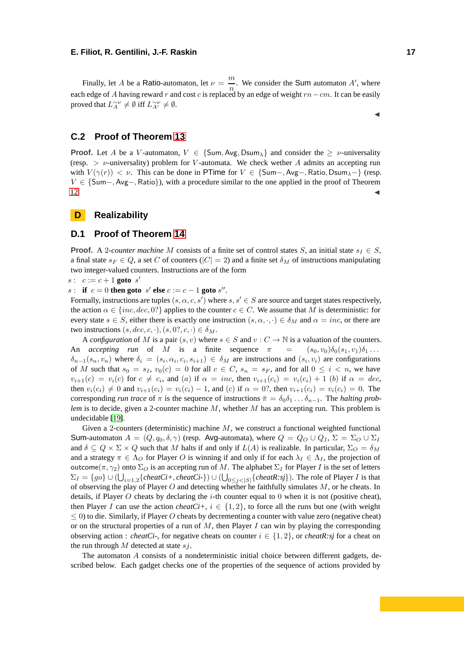Finally, let *A* be a Ratio-automaton, let  $\nu = \frac{m}{n}$  $\frac{m}{n}$ . We consider the Sum automaton *A'*, where each edge of *A* having reward *r* and cost *c* is replaced by an edge of weight *rn*−*cm*. It can be easily proved that  $L^{\sim\nu}_A \neq \emptyset$  iff  $L^{\sim\nu}_{A'} \neq \emptyset$ .

## **C.2 Proof of Theorem [13](#page-9-1)**

**Proof.** Let *A* be a *V*-automaton,  $V \in \{Sum, Avg, Dsum\}$  and consider the  $\geq \nu$ -universality (resp. *> ν*-universality) problem for *V* -automata. We check wether *A* admits an accepting run with  $V(\gamma(r)) < \nu$ . This can be done in PTime for  $V \in \{\text{Sum} - \text{, } \text{Avg} - \text{, } \text{Ratio}, \text{DSum}_{\lambda} - \}$  (resp. *V* ∈ {Sum−*,* Avg−*,* Ratio}), with a procedure similar to the one applied in the proof of Theorem  $12.$ 

### **D Realizability**

#### **D.1 Proof of Theorem [14](#page-10-0)**

**Proof.** A 2*-counter machine M* consists of a finite set of control states *S*, an initial state  $s<sub>I</sub> \in S$ , a final state  $s_F \in Q$ , a set *C* of counters ( $|C| = 2$ ) and a finite set  $\delta_M$  of instructions manipulating two integer-valued counters. Instructions are of the form

 $s: c := c + 1$  **goto**  $s'$ 

*s* : **if**  $c = 0$  **then goto**  $s'$  **else**  $c := c - 1$  **goto**  $s''$ .

Formally, instructions are tuples  $(s, \alpha, c, s')$  where  $s, s' \in S$  are source and target states respectively, the action  $\alpha \in \{inc, dec, 0\}$  applies to the counter  $c \in C$ . We assume that M is deterministic: for every state  $s \in S$ , either there is exactly one instruction  $(s, \alpha, \cdot, \cdot) \in \delta_M$  and  $\alpha = inc$ , or there are two instructions  $(s, dec, c, \cdot), (s, 0?, c, \cdot) \in \delta_M$ .

A *configuration* of *M* is a pair  $(s, v)$  where  $s \in S$  and  $v : C \to \mathbb{N}$  is a valuation of the counters. An *accepting run* of *M* is a finite sequence  $\pi = (s_0, v_0) \delta_0(s_1, v_1) \delta_1 \dots$  $\delta_{n-1}(s_n, v_n)$  where  $\delta_i = (s_i, \alpha_i, c_i, s_{i+1}) \in \delta_M$  are instructions and  $(s_i, v_i)$  are configurations of *M* such that  $s_0 = s_I$ ,  $v_0(c) = 0$  for all  $c \in C$ ,  $s_n = s_F$ , and for all  $0 \le i < n$ , we have  $v_{i+1}(c) = v_i(c)$  for  $c \neq c_i$ , and (a) if  $\alpha = inc$ , then  $v_{i+1}(c_i) = v_i(c_i) + 1$  (b) if  $\alpha = dec$ , then  $v_i(c_i) \neq 0$  and  $v_{i+1}(c_i) = v_i(c_i) - 1$ , and (c) if  $\alpha = 0$ ?, then  $v_{i+1}(c_i) = v_i(c_i) = 0$ . The corresponding *run trace* of  $\pi$  is the sequence of instructions  $\bar{\pi} = \delta_0 \delta_1 \dots \delta_{n-1}$ . The *halting problem* is to decide, given a 2-counter machine *M*, whether *M* has an accepting run. This problem is undecidable [\[19\]](#page-12-22).

Given a 2-counters (deterministic) machine *M*, we construct a functional weighted functional Sum-automaton  $A = (Q, q_0, \delta, \gamma)$  (resp. Avg-automata), where  $Q = Q_O \cup Q_I$ ,  $\Sigma = \Sigma_O \cup \Sigma_I$ and  $\delta \subseteq Q \times \Sigma \times Q$  such that *M* halts if and only if  $L(A)$  is realizable. In particular,  $\Sigma_O = \delta_M$ and a strategy  $\pi \in \Lambda_O$  for Player *O* is winning if and only if for each  $\lambda_I \in \Lambda_I$ , the projection of outcome( $\pi$ ,  $\gamma_2$ ) onto  $\Sigma_O$  is an accepting run of *M*. The alphabet  $\Sigma_I$  for Player *I* is the set of letters  $\Sigma_I = \{go\} \cup (\bigcup_{i=1,2} \{cheatCi+, cheatCi-\}) \cup (\bigcup_{0 \leq j < |S|} \{cheatR:sj\})$ . The role of Player *I* is that of observing the play of Player *O* and detecting whether he faithfully simulates *M*, or he cheats. In details, if Player *O* cheats by declaring the *i*-th counter equal to 0 when it is not (positive cheat), then Player *I* can use the action *cheatCi+*,  $i \in \{1, 2\}$ , to force all the runs but one (with weight ≤ 0) to die. Similarly, if Player *O* cheats by decrementing a counter with value zero (negative cheat) or on the structural properties of a run of *M*, then Player *I* can win by playing the corresponding observing action : *cheatCi*-, for negative cheats on counter  $i \in \{1, 2\}$ , or *cheatR:sj* for a cheat on the run through *M* detected at state *sj*.

The automaton *A* consists of a nondeterministic initial choice between different gadgets, described below. Each gadget checks one of the properties of the sequence of actions provided by

◭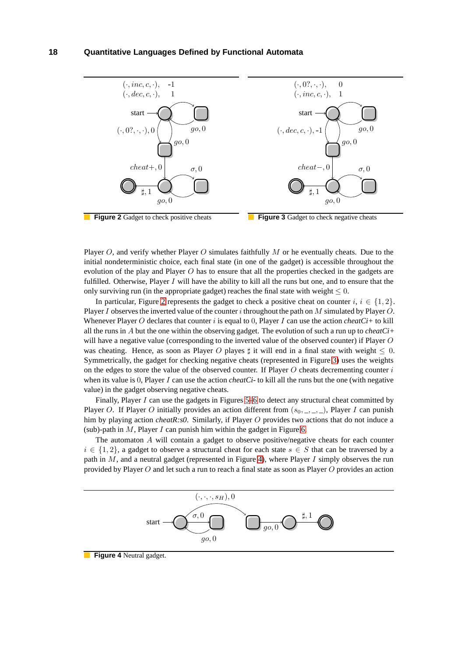<span id="page-18-0"></span>

Player *O*, and verify whether Player *O* simulates faithfully *M* or he eventually cheats. Due to the initial nondeterministic choice, each final state (in one of the gadget) is accessible throughout the evolution of the play and Player *O* has to ensure that all the properties checked in the gadgets are fulfilled. Otherwise, Player *I* will have the ability to kill all the runs but one, and to ensure that the only surviving run (in the appropriate gadget) reaches the final state with weight  $\leq 0$ .

In particular, Figure [2](#page-18-0) represents the gadget to check a positive cheat on counter  $i, i \in \{1, 2\}$ . Player *I* observes the inverted value of the counter *i* throughout the path on *M* simulated by Player *O*. Whenever Player *O* declares that counter *i* is equal to 0, Player *I* can use the action *cheatCi+* to kill all the runs in *A* but the one within the observing gadget. The evolution of such a run up to *cheatCi+* will have a negative value (corresponding to the inverted value of the observed counter) if Player *O* was cheating. Hence, as soon as Player O playes  $\sharp$  it will end in a final state with weight  $\leq 0$ . Symmetrically, the gadget for checking negative cheats (represented in Figure [3\)](#page-18-0) uses the weights on the edges to store the value of the observed counter. If Player *O* cheats decrementing counter *i* when its value is 0, Player *I* can use the action *cheatCi*- to kill all the runs but the one (with negative value) in the gadget observing negative cheats.

Finally, Player *I* can use the gadgets in Figures [5](#page-19-0)[–6](#page-19-1) to detect any structural cheat committed by Player *O*. If Player *O* initially provides an action different from (*s*0*,* \_*,* \_*,* \_), Player *I* can punish him by playing action *cheatR:s0*. Similarly, if Player *O* provides two actions that do not induce a (sub)-path in *M*, Player *I* can punish him within the gadget in Figure [6.](#page-19-1)

The automaton *A* will contain a gadget to observe positive/negative cheats for each counter  $i \in \{1, 2\}$ , a gadget to observe a structural cheat for each state  $s \in S$  that can be traversed by a path in *M*, and a neutral gadget (represented in Figure [4\)](#page-18-1), where Player *I* simply observes the run provided by Player *O* and let such a run to reach a final state as soon as Player *O* provides an action

<span id="page-18-1"></span>

#### **Figure 4** Neutral gadget.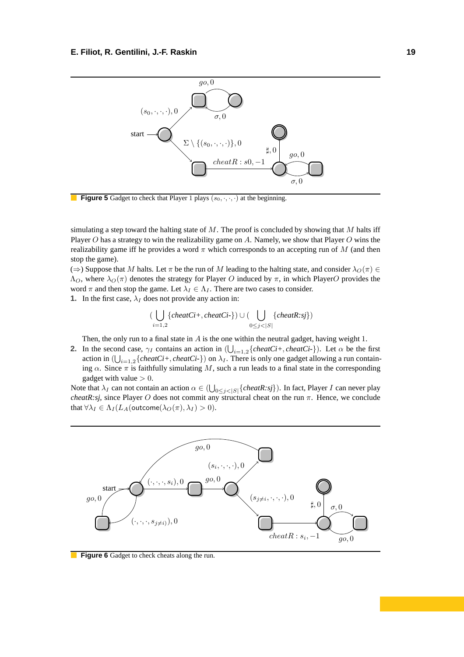<span id="page-19-0"></span>

**Figure 5** Gadget to check that Player 1 plays  $(s_0, \cdot, \cdot, \cdot)$  at the beginning.

simulating a step toward the halting state of *M*. The proof is concluded by showing that *M* halts iff Player *O* has a strategy to win the realizability game on *A*. Namely, we show that Player *O* wins the realizability game iff he provides a word *π* which corresponds to an accepting run of *M* (and then stop the game).

 $(\Rightarrow)$  Suppose that *M* halts. Let  $\pi$  be the run of *M* leading to the halting state, and consider  $\lambda_O(\pi) \in$  $Λ$ <sub>*O*</sub>, where  $λ$ <sub>*O*</sub>( $π$ ) denotes the strategy for Player *O* induced by  $π$ , in which Player*O* provides the word  $\pi$  and then stop the game. Let  $\lambda_I \in \Lambda_I$ . There are two cases to consider.

**1.** In the first case,  $\lambda_I$  does not provide any action in:

$$
(\bigcup_{i=1,2} \{ \text{cheatCi+}, \text{cheatCi-}\}) \cup (\bigcup_{0 \leq j < |S|} \{ \text{cheatR:sj} \})
$$

Then, the only run to a final state in *A* is the one within the neutral gadget, having weight 1.

**2.** In the second case,  $\gamma_I$  contains an action in  $(\bigcup_{i=1,2} \{cheatCi+, cheatCi-\})$ . Let  $\alpha$  be the first action in  $(\bigcup_{i=1,2} \{cheatCi+, cheatCi-\})$  on  $\lambda_I$ . There is only one gadget allowing a run containing  $\alpha$ . Since  $\pi$  is faithfully simulating *M*, such a run leads to a final state in the corresponding gadget with value *>* 0.

Note that  $\lambda_I$  can not contain an action  $\alpha \in (\bigcup_{0 \le j < |S|} \{cheatR:sj\})$ . In fact, Player *I* can never play *cheatR:sj*, since Player *O* does not commit any structural cheat on the run *π*. Hence, we conclude that  $\forall \lambda_I \in \Lambda_I(L_A(\text{outcome}(\lambda_O(\pi), \lambda_I) > 0).$ 

<span id="page-19-1"></span>

**Figure 6** Gadget to check cheats along the run.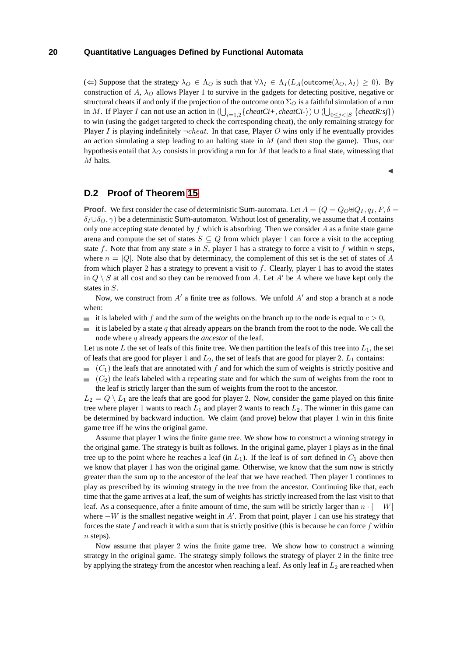(←) Suppose that the strategy  $\lambda_O \in \Lambda_O$  is such that  $\forall \lambda_I \in \Lambda_I(L_A(\text{outcome}(\lambda_O, \lambda_I) \geq 0)$ . By construction of  $A$ ,  $\lambda_O$  allows Player 1 to survive in the gadgets for detecting positive, negative or structural cheats if and only if the projection of the outcome onto  $\Sigma_O$  is a faithful simulation of a run in *M*. If Player *I* can not use an action in  $(\bigcup_{i=1,2} \{cheatCi+, cheatCi-\}) \cup (\bigcup_{0 \leq j < |S|} \{cheatR:sj\})$ to win (using the gadget targeted to check the corresponding cheat), the only remaining strategy for Player *I* is playing indefinitely  $\neg$ *cheat*. In that case, Player *O* wins only if he eventually provides an action simulating a step leading to an halting state in *M* (and then stop the game). Thus, our hypothesis entail that  $\lambda$ <sup>*O*</sup> consists in providing a run for *M* that leads to a final state, witnessing that *M* halts.

◭

# **D.2 Proof of Theorem [15](#page-10-1)**

**Proof.** We first consider the case of deterministic Sum-automata. Let  $A = (Q = Q_0 \oplus Q_I, q_I, F, \delta =$  $\delta$ *I*∪ $\delta$ *O*,  $\gamma$ ) be a deterministic Sum-automaton. Without lost of generality, we assume that *A* contains only one accepting state denoted by *f* which is absorbing. Then we consider *A* as a finite state game arena and compute the set of states  $S \subseteq Q$  from which player 1 can force a visit to the accepting state *f*. Note that from any state *s* in *S*, player 1 has a strategy to force a visit to *f* within *n* steps, where  $n = |Q|$ . Note also that by determinacy, the complement of this set is the set of states of *A* from which player 2 has a strategy to prevent a visit to *f*. Clearly, player 1 has to avoid the states in  $Q \setminus S$  at all cost and so they can be removed from *A*. Let *A'* be *A* where we have kept only the states in *S*.

Now, we construct from A' a finite tree as follows. We unfold A' and stop a branch at a node when:

- it is labeled with *f* and the sum of the weights on the branch up to the node is equal to  $c > 0$ ,
- it is labeled by a state  $q$  that already appears on the branch from the root to the node. We call the node where *q* already appears the *ancestor* of the leaf.

Let us note  $L$  the set of leafs of this finite tree. We then partition the leafs of this tree into  $L_1$ , the set of leafs that are good for player 1 and *L*2, the set of leafs that are good for player 2. *L*<sup>1</sup> contains:

- $(C_1)$  the leafs that are annotated with f and for which the sum of weights is strictly positive and
- $(C_2)$  the leafs labeled with a repeating state and for which the sum of weights from the root to the leaf is strictly larger than the sum of weights from the root to the ancestor.

 $L_2 = Q \setminus L_1$  are the leafs that are good for player 2. Now, consider the game played on this finite tree where player 1 wants to reach  $L_1$  and player 2 wants to reach  $L_2$ . The winner in this game can be determined by backward induction. We claim (and prove) below that player 1 win in this finite game tree iff he wins the original game.

Assume that player 1 wins the finite game tree. We show how to construct a winning strategy in the original game. The strategy is built as follows. In the original game, player 1 plays as in the final tree up to the point where he reaches a leaf (in  $L_1$ ). If the leaf is of sort defined in  $C_1$  above then we know that player 1 has won the original game. Otherwise, we know that the sum now is strictly greater than the sum up to the ancestor of the leaf that we have reached. Then player 1 continues to play as prescribed by its winning strategy in the tree from the ancestor. Continuing like that, each time that the game arrives at a leaf, the sum of weights has strictly increased from the last visit to that leaf. As a consequence, after a finite amount of time, the sum will be strictly larger than  $n \cdot |-W|$ where −*W* is the smallest negative weight in *A*′ . From that point, player 1 can use his strategy that forces the state *f* and reach it with a sum that is strictly positive (this is because he can force *f* within *n* steps).

Now assume that player 2 wins the finite game tree. We show how to construct a winning strategy in the original game. The strategy simply follows the strategy of player 2 in the finite tree by applying the strategy from the ancestor when reaching a leaf. As only leaf in  $L_2$  are reached when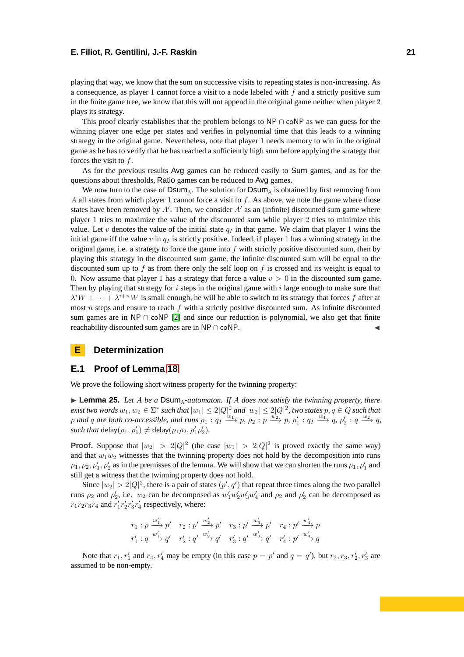playing that way, we know that the sum on successive visits to repeating states is non-increasing. As a consequence, as player 1 cannot force a visit to a node labeled with *f* and a strictly positive sum in the finite game tree, we know that this will not append in the original game neither when player 2 plays its strategy.

This proof clearly establishes that the problem belongs to NP  $\cap$  coNP as we can guess for the winning player one edge per states and verifies in polynomial time that this leads to a winning strategy in the original game. Nevertheless, note that player 1 needs memory to win in the original game as he has to verify that he has reached a sufficiently high sum before applying the strategy that forces the visit to *f*.

As for the previous results Avg games can be reduced easily to Sum games, and as for the questions about thresholds, Ratio games can be reduced to Avg games.

We now turn to the case of  $DSum_\lambda$ . The solution for  $DSum_\lambda$  is obtained by first removing from *A* all states from which player 1 cannot force a visit to *f*. As above, we note the game where those states have been removed by  $A'$ . Then, we consider  $A'$  as an (infinite) discounted sum game where player 1 tries to maximize the value of the discounted sum while player 2 tries to minimize this value. Let *v* denotes the value of the initial state  $q_I$  in that game. We claim that player 1 wins the initial game iff the value  $v$  in  $q_I$  is strictly positive. Indeed, if player 1 has a winning strategy in the original game, i.e. a strategy to force the game into *f* with strictly positive discounted sum, then by playing this strategy in the discounted sum game, the infinite discounted sum will be equal to the discounted sum up to *f* as from there only the self loop on *f* is crossed and its weight is equal to 0. Now assume that player 1 has a strategy that force a value  $v > 0$  in the discounted sum game. Then by playing that strategy for *i* steps in the original game with *i* large enough to make sure that  $\lambda^i W + \cdots + \lambda^{i+n} W$  is small enough, he will be able to switch to its strategy that forces *f* after at most *n* steps and ensure to reach *f* with a strictly positive discounted sum. As infinite discounted sum games are in NP ∩ coNP [\[2\]](#page-12-20) and since our reduction is polynomial, we also get that finite reachability discounted sum games are in  $NP \cap coNP$ .

## **E Determinization**

## **E.1 Proof of Lemma [18](#page-11-1)**

We prove the following short witness property for the twinning property:

<span id="page-21-0"></span>◮ **Lemma 25.** *Let A be a* Dsum*λ-automaton. If A does not satisfy the twinning property, there*  $e$ xist two words  $w_1, w_2 \in \Sigma^*$  such that  $|w_1| \leq 2|Q|^2$  and  $|w_2| \leq 2|Q|^2$ , two states  $p, q \in Q$  such that p and q are both co-accessible, and runs  $\rho_1: q_1 \xrightarrow{w_1} p$ ,  $\rho_2: p \xrightarrow{w_2} p$ ,  $\rho'_1: q_1 \xrightarrow{w_1} q$ ,  $\rho'_2: q \xrightarrow{w_2} q$ ,  $\textit{such that} \ \textsf{delay}(\rho_1, \rho_1') \neq \textsf{delay}(\rho_1 \rho_2, \rho_1' \rho_2').$ 

**Proof.** Suppose that  $|w_2| > 2|Q|^2$  (the case  $|w_1| > 2|Q|^2$  is proved exactly the same way) and that  $w_1w_2$  witnesses that the twinning property does not hold by the decomposition into runs  $\rho_1, \rho_2, \rho'_1, \rho'_2$  as in the premisses of the lemma. We will show that we can shorten the runs  $\rho_1, \rho'_1$  and still get a witness that the twinning property does not hold.

Since  $|w_2| > 2|Q|^2$ , there is a pair of states  $(p', q')$  that repeat three times along the two parallel runs  $\rho_2$  and  $\rho'_2$ , i.e.  $w_2$  can be decomposed as  $w'_1w'_2w'_3w'_4$  and  $\rho_2$  and  $\rho'_2$  can be decomposed as  $r_1r_2r_3r_4$  and  $r'_1r'_2r'_3r'_4$  respectively, where:

$$
\begin{array}{ccc}r_1:p\ \xrightarrow{w_1'} p'& r_2:p'\xrightarrow{w_2'} p'& r_3:p'\xrightarrow{w_3'} p'& r_4:p'\xrightarrow{w_4'} p\\ r_1':q\ \xrightarrow{w_1'} q'& r_2':q'\xrightarrow{w_2'} q'& r_3':q'\xrightarrow{w_3'} q'& r_4':p'\xrightarrow{w_4'} q\end{array}
$$

Note that  $r_1, r'_1$  and  $r_4, r'_4$  may be empty (in this case  $p = p'$  and  $q = q'$ ), but  $r_2, r_3, r'_2, r'_3$  are assumed to be non-empty.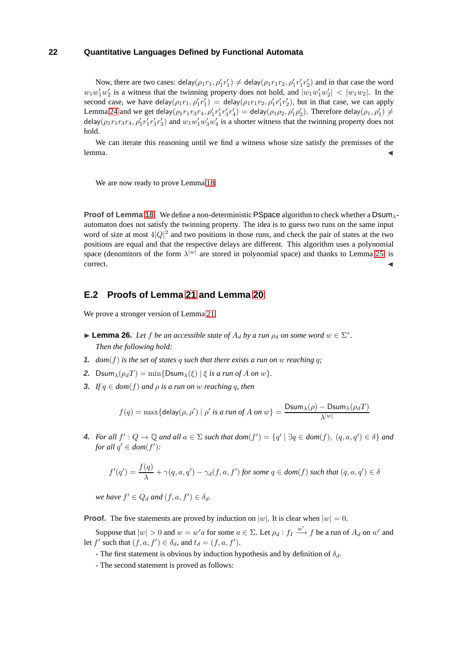Now, there are two cases:  $\text{delay}(\rho_1 r_1, \rho'_1 r'_1) \neq \text{delay}(\rho_1 r_1 r_2, \rho'_1 r'_1 r'_2)$  and in that case the word  $w_1w_1'w_2'$  is a witness that the twinning property does not hold, and  $|w_1w_1'w_2'| < |w_1w_2|$ . In the second case, we have delay $(\rho_1 r_1, \rho'_1 r'_1) =$  delay $(\rho_1 r_1 r_2, \rho'_1 r'_1 r'_2)$ , but in that case, we can apply Lemma [24](#page-14-0) and we get delay $(\rho_1r_1r_3r_4, \rho'_1r'_1r'_3r'_4) =$  delay $(\rho_1\rho_2, \rho'_1\rho'_2)$ . Therefore delay $(\rho_1, \rho'_1) \neq$ delay $(\rho_1r_1r_3r_4, \rho'_1r'_1r'_3r'_3)$  and  $w_1w'_1w'_3w'_4$  is a shorter witness that the twinning property does not hold.

We can iterate this reasoning until we find a witness whose size satisfy the premisses of the  $l$ emma.  $\blacktriangleleft$ 

We are now ready to prove Lemma [18:](#page-11-1)

**Proof of Lemma [18.](#page-11-1)** We define a non-deterministic PSpace algorithm to check whether a Dsum<sub>1</sub>automaton does not satisfy the twinning property. The idea is to guess two runs on the same input word of size at most  $4|Q|^2$  and two positions in those runs, and check the pair of states at the two positions are equal and that the respective delays are different. This algorithm uses a polynomial space (denomitors of the form  $\lambda^{|w|}$  are stored in polynomial space) and thanks to Lemma [25,](#page-21-0) is  $\blacksquare$ correct.

## **E.2 Proofs of Lemma [21](#page-11-2) and Lemma [20](#page-11-3)**

We prove a stronger version of Lemma [21:](#page-11-2)

- <span id="page-22-0"></span>**Example 26.** *Let f be an accessible state of*  $A_d$  *by a run*  $\rho_d$  *on some word*  $w \in \Sigma^*$ . *Then the following hold:*
- **1.**  $dom(f)$  is the set of states q such that there exists a run on w reaching q;
- **2.** Dsum<sub> $\lambda$ </sub> $(\rho_d T) = \min\{\text{Dsum}_{\lambda}(\xi) | \xi \text{ is a run of } A \text{ on } w\}.$
- **3.** *If*  $q \in dom(f)$  *and*  $\rho$  *is a run on w reaching*  $q$ *, then*

$$
f(q) = \max\{\mathsf{delay}(\rho, \rho') \mid \rho' \text{ is a run of } A \text{ on } w\} = \frac{\text{Dsum}_{\lambda}(\rho) - \text{Dsum}_{\lambda}(\rho_d T)}{\lambda^{|w|}}
$$

**4.** For all  $f': Q \to \mathbb{Q}$  and all  $a \in \Sigma$  such that  $dom(f') = \{q' \mid \exists q \in dom(f), (q, a, q') \in \delta\}$  and *for all*  $q' \in dom(f')$ :

$$
f'(q') = \frac{f(q)}{\lambda} + \gamma(q, a, q') - \gamma_d(f, a, f') \text{ for some } q \in \text{dom}(f) \text{ such that } (q, a, q') \in \delta
$$

*we have*  $f' \in Q_d$  *and*  $(f, a, f') \in \delta_d$ .

**Proof.** The five statements are proved by induction on |w|. It is clear when  $|w| = 0$ .

Suppose that  $|w| > 0$  and  $w = w' a$  for some  $a \in \Sigma$ . Let  $\rho_d : f_I \stackrel{w'}{\longrightarrow} f$  be a run of  $A_d$  on  $w'$  and let  $f'$  such that  $(f, a, f') \in \delta_d$ , and  $t_d = (f, a, f')$ .

- The first statement is obvious by induction hypothesis and by definition of  $\delta_d$ .

- The second statement is proved as follows: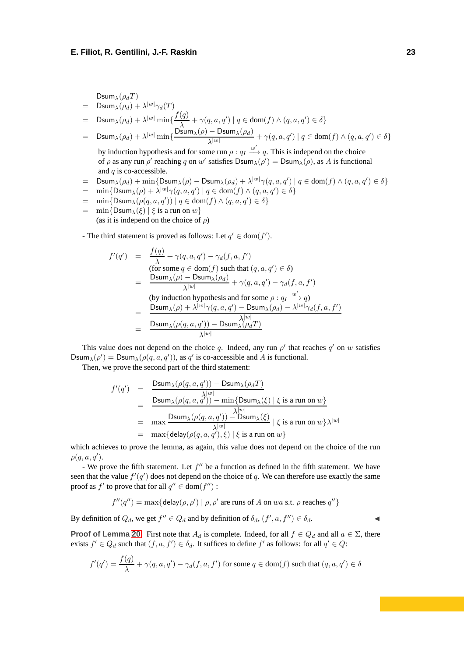$Dsum_{\lambda}(\rho_dT)$ 

- $=$  Dsum<sub> $\lambda$ </sub> $(\rho_d) + \lambda^{|w|}\gamma_d(T)$
- $=$  Dsum<sub> $\lambda(\rho_d) + \lambda^{|w|} \min\{\frac{f(q)}{\lambda}\}$ </sub>  $\frac{q}{\lambda}$  + *γ*(*q*, *a*, *q*′) | *q* ∈ dom(*f*)  $\land$  (*q*, *a*, *q*′) ∈  $\delta$ }
- $=$  Dsum<sub> $\lambda(\rho_d) + \lambda^{|w|} \min\{\frac{\text{Dsum}_{\lambda}(\rho) \text{Dsum}_{\lambda}(\rho_d)}{\lambda^{|w|}}\}$ </sub>  $\frac{\partial^2 u}{\partial x^{|\omega|}} + \gamma(q, a, q') \mid q \in \text{dom}(f) \land (q, a, q') \in \delta$ by induction hypothesis and for some run  $\rho: q_I \stackrel{w'}{\longrightarrow} q$ . This is independ on the choice
	- of  $\rho$  as any run  $\rho'$  reaching  $q$  on  $w'$  satisfies  $\text{Dsum}_{\lambda}(\rho') = \text{Dsum}_{\lambda}(\rho)$ , as  $A$  is functional and *q* is co-accessible.
- $=$  Dsum ${}_{\lambda}(\rho_d) + \min\{\textsf{Dsum}_{\lambda}(\rho) \textsf{Dsum}_{\lambda}(\rho_d) + \lambda^{|w|}\gamma(q,a,q') \mid q \in \textsf{dom}(f) \land (q,a,q') \in \delta\}$
- $=$  min{Dsum<sub>*λ*</sub>( $\rho$ ) +  $\lambda^{|w|}\gamma(q, a, q') | q \in \text{dom}(f) \wedge (q, a, q') \in \delta$ }
- $=$  min{Dsum<sub> $\lambda$ </sub>( $\rho$ ( $q$ ,  $a$ ,  $q'$ )) |  $q \in \text{dom}(f) \land (q, a, q') \in \delta$ }
- $=$  min{Dsum<sub>λ</sub>(*ξ*) | *ξ* is a run on *w*} (as it is independ on the choice of *ρ*)
- The third statement is proved as follows: Let  $q' \in \text{dom}(f')$ .

$$
f'(q') = \frac{f(q)}{\lambda} + \gamma(q, a, q') - \gamma_d(f, a, f')
$$
  
(for some  $q \in \text{dom}(f)$  such that  $(q, a, q') \in \delta$ )  

$$
= \frac{\text{Dsum}_{\lambda}(\rho) - \text{Dsum}_{\lambda}(\rho_d)}{\lambda^{|w|}} + \gamma(q, a, q') - \gamma_d(f, a, f')
$$
  
(by induction hypothesis and for some  $\rho : q_I \xrightarrow{w'} q$ )  

$$
= \frac{\text{Dsum}_{\lambda}(\rho) + \lambda^{|w|}\gamma(q, a, q') - \text{Dsum}_{\lambda}(\rho_d) - \lambda^{|w|}\gamma_d(f, a, f')}{\lambda^{|w|}}
$$
  

$$
= \frac{\text{Dsum}_{\lambda}(\rho(q, a, q')) - \text{Dsum}_{\lambda}(\rho_d T)}{\lambda^{|w|}}
$$

This value does not depend on the choice *q*. Indeed, any run  $\rho'$  that reaches  $q'$  on  $w$  satisfies Dsum<sub> $\lambda$ </sub>( $\rho'$ ) = Dsum<sub> $\lambda$ </sub>( $\rho$ ( $q$ ,  $a$ ,  $q'$ )), as  $q'$  is co-accessible and *A* is functional.

Then, we prove the second part of the third statement:

$$
f'(q') = \frac{\text{Dsum}_{\lambda}(\rho(q, a, q')) - \text{Dsum}_{\lambda}(\rho_d T)}{\text{Dsum}_{\lambda}(\rho(q, a, q')) - \min\{\text{Dsum}_{\lambda}(\xi) \mid \xi \text{ is a run on } w\}} \\
= \max_{\lambda} \frac{\text{Dsum}_{\lambda}(\rho(q, a, q')) - \text{Dsum}_{\lambda}(\xi)}{\lambda^{|w|}} \mid \xi \text{ is a run on } w\} \lambda^{|w|} \\
= \max_{\lambda} \{\text{delay}(\rho(q, a, q'), \xi) \mid \xi \text{ is a run on } w\}
$$

which achieves to prove the lemma, as again, this value does not depend on the choice of the run *ρ*(*q, a, q*′ ).

- We prove the fifth statement. Let  $f''$  be a function as defined in the fifth statement. We have seen that the value  $f'(q')$  does not depend on the choice of q. We can therefore use exactly the same proof as  $f'$  to prove that for all  $q'' \in \text{dom}(f'')$ :

$$
f''(q'') = \max\{\text{delay}(\rho, \rho') \mid \rho, \rho' \text{ are runs of } A \text{ on } wa \text{ s.t. } \rho \text{ reaches } q''\}
$$

By definition of  $Q_d$ , we get  $f'' \in Q_d$  and by definition of  $\delta_d$ ,  $(f', a, f'') \in \delta_d$ .

**Proof of Lemma [20.](#page-11-3)** First note that  $A_d$  is complete. Indeed, for all  $f \in Q_d$  and all  $a \in \Sigma$ , there exists  $f' \in Q_d$  such that  $(f, a, f') \in \delta_d$ . It suffices to define  $f'$  as follows: for all  $q' \in Q$ :

$$
f'(q') = \frac{f(q)}{\lambda} + \gamma(q, a, q') - \gamma_d(f, a, f')
$$
 for some  $q \in \text{dom}(f)$  such that  $(q, a, q') \in \delta$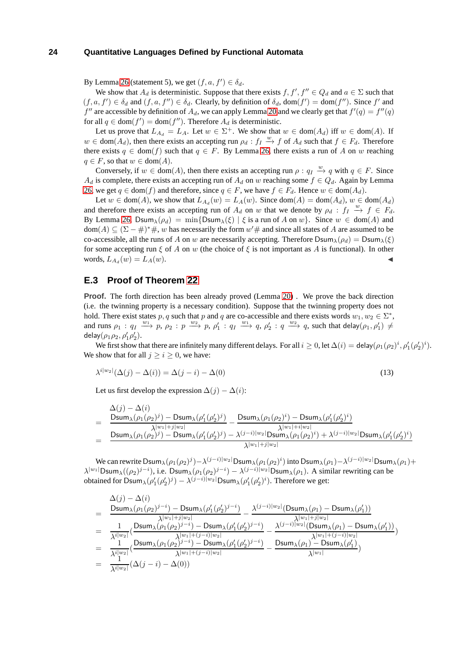By Lemma [26](#page-22-0) (statement 5), we get  $(f, a, f') \in \delta_d$ .

We show that  $A_d$  is deterministic. Suppose that there exists  $f, f', f'' \in Q_d$  and  $a \in \Sigma$  such that  $(f, a, f') \in \delta_d$  and  $(f, a, f'') \in \delta_d$ . Clearly, by definition of  $\delta_d$ , dom $(f') = \text{dom}(f'')$ . Since  $f'$  and  $f''$  are accessible by definition of  $A_d$ , we can apply Lemma [20](#page-11-3) and we clearly get that  $f'(q) = f''(q)$ for all  $q \in \text{dom}(f') = \text{dom}(f'')$ . Therefore  $A_d$  is deterministic.

Let us prove that  $L_{A_d} = L_A$ . Let  $w \in \Sigma^+$ . We show that  $w \in \text{dom}(A_d)$  iff  $w \in \text{dom}(A)$ . If  $w \in \text{dom}(A_d)$ , then there exists an accepting run  $\rho_d : f_I \overset{w}{\to} f$  of  $A_d$  such that  $f \in F_d$ . Therefore there exists  $q \in \text{dom}(f)$  such that  $q \in F$ . By Lemma [26,](#page-22-0) there exists a run of *A* on *w* reaching  $q \in F$ , so that  $w \in \text{dom}(A)$ .

Conversely, if  $w \in \text{dom}(A)$ , then there exists an accepting run  $\rho : q_I \stackrel{w}{\to} q$  with  $q \in F$ . Since *A<sub>d</sub>* is complete, there exists an accepting run of  $A_d$  on *w* reaching some  $f \in Q_d$ . Again by Lemma [26,](#page-22-0) we get  $q \in \text{dom}(f)$  and therefore, since  $q \in F$ , we have  $f \in F_d$ . Hence  $w \in \text{dom}(A_d)$ .

Let  $w \in \text{dom}(A)$ , we show that  $L_{A_d}(w) = L_A(w)$ . Since  $\text{dom}(A) = \text{dom}(A_d)$ ,  $w \in \text{dom}(A_d)$ and therefore there exists an accepting run of  $A_d$  on *w* that we denote by  $\rho_d$ :  $f_I \stackrel{w}{\rightarrow} f \in F_d$ . By Lemma [26,](#page-22-0) Dsum<sub> $\lambda$ </sub>( $\rho_d$ ) = min{Dsum<sub> $\lambda$ </sub>( $\xi$ ) |  $\xi$  is a run of *A* on *w*}. Since  $w \in \text{dom}(A)$  and  $dom(A) \subseteq (\Sigma - \#)^* \#$ , *w* has necessarily the form  $w' \#$  and since all states of *A* are assumed to be co-accessible, all the runs of *A* on *w* are necessarily accepting. Therefore  $\text{Dsum}_{\lambda}(\rho_d) = \text{Dsum}_{\lambda}(\xi)$ for some accepting run *ξ* of *A* on *w* (the choice of *ξ* is not important as *A* is functional). In other words,  $L_{A_d}(w) = L_A(w)$ .

## **E.3 Proof of Theorem [22](#page-11-4)**

**Proof.** The forth direction has been already proved (Lemma [20\)](#page-11-3). We prove the back direction (i.e. the twinning property is a necessary condition). Suppose that the twinning property does not hold. There exist states  $p, q$  such that  $p$  and  $q$  are co-accessible and there exists words  $w_1, w_2 \in \Sigma^*$ , and runs  $\rho_1$  :  $q_1 \stackrel{w_1}{\longrightarrow} p$ ,  $\rho_2$  :  $p \stackrel{w_2}{\longrightarrow} p$ ,  $\rho'_1$  :  $q_1 \stackrel{w_1}{\longrightarrow} q$ ,  $\rho'_2$  :  $q \stackrel{w_2}{\longrightarrow} q$ , such that delay $(\rho_1, \rho'_1) \neq$ delay $(\rho_1 \rho_2, \rho'_1 \rho'_2)$ .

We first show that there are infinitely many different delays. For all  $i \geq 0$ , let  $\Delta(i) = \text{delay}(\rho_1(\rho_2)^i, \rho'_1(\rho'_2)^i)$ . We show that for all  $j \ge i \ge 0$ , we have:

<span id="page-24-0"></span>
$$
\lambda^{i|w_2|}(\Delta(j) - \Delta(i)) = \Delta(j - i) - \Delta(0)
$$
\n(13)

Let us first develop the expression  $\Delta(j) - \Delta(i)$ :

$$
= \frac{\Delta(j) - \Delta(i)}{\text{Dsum}_{\lambda}(\rho_1(\rho_2)^j) - \text{Dsum}_{\lambda}(\rho'_1(\rho'_2)^j)} - \frac{\text{Dsum}_{\lambda}(\rho_1(\rho_2)^i) - \text{Dsum}_{\lambda}(\rho'_1(\rho'_2)^i)}{\lambda^{|w_1| + i|w_2|}}}{\text{Dsum}_{\lambda}(\rho_1(\rho_2)^j) - \text{Dsum}_{\lambda}(\rho'_1(\rho'_2)^j) - \lambda^{(j-i)|w_2| \text{Dsum}_{\lambda}(\rho_1(\rho_2)^i) + \lambda^{(j-i)|w_2| \text{Dsum}_{\lambda}(\rho'_1(\rho'_2)^i)}}
$$

We can rewrite  $\mathsf{Dsum}_\lambda(\rho_1(\rho_2)^j)-\lambda^{(j-i)|w_2|}\mathsf{Dsum}_\lambda(\rho_1(\rho_2)^i)$  into  $\mathsf{Dsum}_\lambda(\rho_1)-\lambda^{(j-i)|w_2|}\mathsf{Dsum}_\lambda(\rho_1)+$  $\lambda^{|w_1|}$ Dsum<sub> $\lambda((\rho_2)^{j-i})$ , i.e. Dsum $\lambda(\rho_1(\rho_2)^{j-i}) - \lambda^{(j-i)|w_2|}$ Dsum $\lambda(\rho_1)$ . A similar rewriting can be</sub> obtained for  $\textsf{Dsum}_{\lambda}(\rho'_1(\rho'_2)^j) - \lambda^{(j-i)|w_2|} \textsf{Dsum}_{\lambda}(\rho'_1(\rho'_2)^i)$ . Therefore we get:

$$
\begin{array}{lll} & \Delta(j)-\Delta(i) \\ & = & \dfrac{\mathrm{Dsum}_\lambda(\rho_1(\rho_2)^{j-i}) - \mathrm{Dsum}_\lambda(\rho_1'(\rho_2')^{j-i})}{\lambda^{|w_1|+|j|w_2|}} - \dfrac{\lambda^{(j-i)|w_2|}(\mathrm{Dsum}_\lambda(\rho_1) - \mathrm{Dsum}_\lambda(\rho_1'))}{\lambda^{|w_1|+|j|w_2|}} \\ & = & \dfrac{1}{\lambda^{i|w_2|}}(\dfrac{\mathrm{Dsum}_\lambda(\rho_1(\rho_2)^{j-i}) - \mathrm{Dsum}_\lambda(\rho_1'(\rho_2')^{j-i})}{\lambda^{|w_1|+(j-i)|w_2|}} - \dfrac{\lambda^{(j-i)|w_2|}(\mathrm{Dsum}_\lambda(\rho_1) - \mathrm{Dsum}_\lambda(\rho_1'))}{\lambda^{|w_1|+(j-i)|w_2|}}) \\ & = & \dfrac{1}{\lambda^{i|w_2|}}(\dfrac{\mathrm{Dsum}_\lambda(\rho_1(\rho_2)^{j-i}) - \mathrm{Dsum}_\lambda(\rho_1'(\rho_2')^{j-i})}{\lambda^{|w_1|+(j-i)|w_2|}} - \dfrac{\mathrm{Dsum}_\lambda(\rho_1) - \mathrm{Dsum}_\lambda(\rho_1')}{\lambda^{|w_1|}}) \\ & = & \dfrac{1}{\lambda^{i|w_2|}}(\Delta(j-i)-\Delta(0)) \end{array}
$$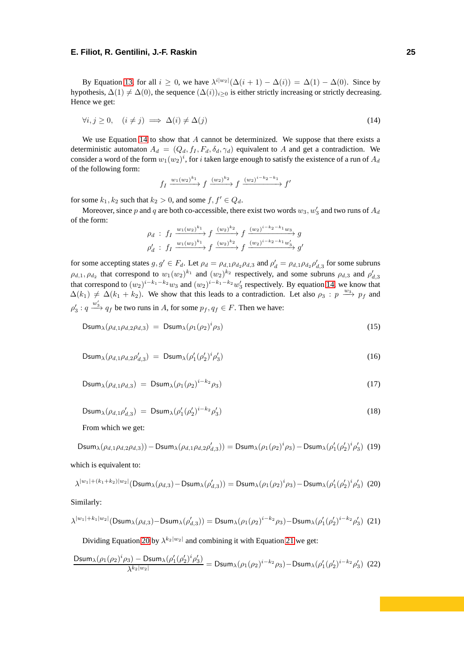By Equation [13,](#page-24-0) for all  $i \geq 0$ , we have  $\lambda^{i|w_2|}(\Delta(i+1) - \Delta(i)) = \Delta(1) - \Delta(0)$ . Since by hypothesis,  $\Delta(1) \neq \Delta(0)$ , the sequence  $(\Delta(i))_{i>0}$  is either strictly increasing or strictly decreasing. Hence we get:

<span id="page-25-0"></span>
$$
\forall i, j \ge 0, \quad (i \ne j) \implies \Delta(i) \ne \Delta(j) \tag{14}
$$

We use Equation [14](#page-25-0) to show that *A* cannot be determinized. We suppose that there exists a deterministic automaton  $A_d = (Q_d, f_I, F_d, \delta_d, \gamma_d)$  equivalent to A and get a contradiction. We consider a word of the form  $w_1(w_2)^i$ , for  $i$  taken large enough to satisfy the existence of a run of  $A_d$ of the following form:

$$
f_I \xrightarrow{w_1(w_2)^{k_1}} f \xrightarrow{(w_2)^{k_2}} f \xrightarrow{(w_2)^{i-k_2-k_1}} f'
$$

for some  $k_1, k_2$  such that  $k_2 > 0$ , and some  $f, f' \in Q_d$ .

Moreover, since  $p$  and  $q$  are both co-accessible, there exist two words  $w_3, w'_3$  and two runs of  $A_d$ of the form:

$$
\rho_d : f_1 \xrightarrow{w_1(w_2)^{k_1}} f \xrightarrow{(w_2)^{k_2}} f \xrightarrow{(w_2)^{i-k_2-k_1}w_3} g
$$
  

$$
\rho'_d : f_1 \xrightarrow{w_1(w_2)^{k_1}} f \xrightarrow{(w_2)^{k_2}} f \xrightarrow{(w_2)^{i-k_2-k_1}w'_3} g'
$$

for some accepting states  $g, g' \in F_d$ . Let  $\rho_d = \rho_{d,1} \rho_{d_2} \rho_{d,3}$  and  $\rho'_d = \rho_{d,1} \rho_{d_2} \rho'_{d,3}$  for some subruns  $\rho_{d,1}, \rho_{d_2}$  that correspond to  $w_1(w_2)^{k_1}$  and  $(w_2)^{k_2}$  respectively, and some subruns  $\rho_{d,3}$  and  $\rho'_{d,3}$ that correspond to  $(w_2)^{i-k_1-k_2}w_3$  and  $(w_2)^{i-k_1-k_2}w_3'$  respectively. By equation [14,](#page-25-0) we know that  $\Delta(k_1) \neq \Delta(k_1 + k_2)$ . We show that this leads to a contradiction. Let also  $\rho_3 : p \xrightarrow{w_3} p_f$  and  $\rho'_3: q \xrightarrow{w'_3} q_f$  be two runs in *A*, for some  $p_f, q_f \in F$ . Then we have:

$$
\text{Dsum}_{\lambda}(\rho_{d,1}\rho_{d,2}\rho_{d,3}) = \text{Dsum}_{\lambda}(\rho_1(\rho_2)^i\rho_3) \tag{15}
$$

$$
\text{Dsum}_{\lambda}(\rho_{d,1}\rho_{d,2}\rho'_{d,3}) = \text{Dsum}_{\lambda}(\rho'_1(\rho'_2)^i\rho'_3) \tag{16}
$$

$$
\text{Dsum}_{\lambda}(\rho_{d,1}\rho_{d,3}) = \text{Dsum}_{\lambda}(\rho_1(\rho_2)^{i-k_2}\rho_3) \tag{17}
$$

$$
Dsum_{\lambda}(\rho_{d,1}\rho'_{d,3}) = Dsum_{\lambda}(\rho'_1(\rho'_2)^{i-k_2}\rho'_3)
$$
\n(18)

From which we get:

<span id="page-25-1"></span>
$$
\text{Dsum}_{\lambda}(\rho_{d,1}\rho_{d,2}\rho_{d,3})) - \text{Dsum}_{\lambda}(\rho_{d,1}\rho_{d,2}\rho_{d,3}')) = \text{Dsum}_{\lambda}(\rho_{1}(\rho_{2})^{i}\rho_{3}) - \text{Dsum}_{\lambda}(\rho_{1}'(\rho_{2}')^{i}\rho_{3}') \tag{19}
$$

which is equivalent to:

$$
\lambda^{|w_1| + (k_1 + k_2)|w_2|}(\text{Dsum}_{\lambda}(\rho_{d,3}) - \text{Dsum}_{\lambda}(\rho'_{d,3})) = \text{Dsum}_{\lambda}(\rho_1(\rho_2)^i \rho_3) - \text{Dsum}_{\lambda}(\rho'_1(\rho'_2)^i \rho'_3)
$$
(20)

<span id="page-25-2"></span>Similarly:

$$
\lambda^{|w_1|+k_1|w_2|}(\text{Dsum}_{\lambda}(\rho_{d,3})-\text{Dsum}_{\lambda}(\rho'_{d,3}))=\text{Dsum}_{\lambda}(\rho_1(\rho_2)^{i-k_2}\rho_3)-\text{Dsum}_{\lambda}(\rho'_1(\rho'_2)^{i-k_2}\rho'_3)
$$
(21)

<span id="page-25-3"></span>Dividing Equation [20](#page-25-1) by  $\lambda^{k_2|w_2|}$  and combining it with Equation [21](#page-25-2) we get:

$$
\frac{\text{Dsum}_{\lambda}(\rho_1(\rho_2)^i\rho_3) - \text{Dsum}_{\lambda}(\rho_1'(\rho_2')^i\rho_3')}{\lambda^{k_2|w_2|}} = \text{Dsum}_{\lambda}(\rho_1(\rho_2)^{i-k_2}\rho_3) - \text{Dsum}_{\lambda}(\rho_1'(\rho_2')^{i-k_2}\rho_3') \tag{22}
$$